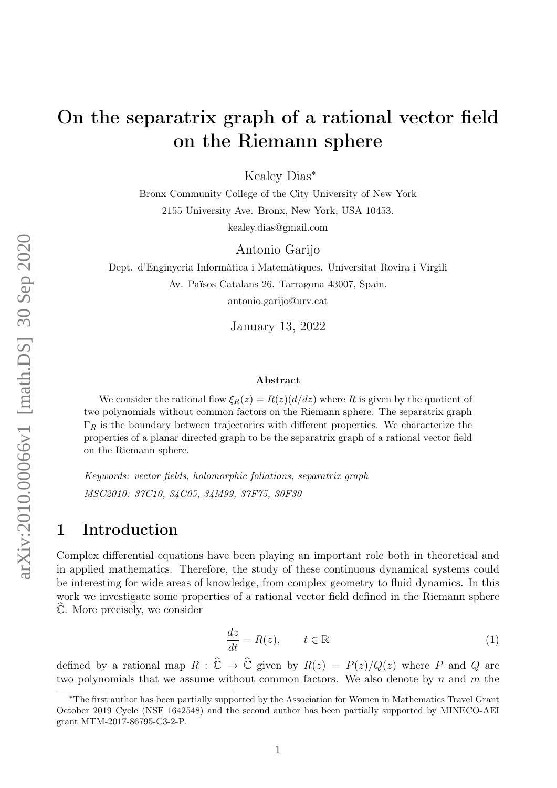# On the separatrix graph of a rational vector field on the Riemann sphere

Kealey Dias<sup>∗</sup>

Bronx Community College of the City University of New York 2155 University Ave. Bronx, New York, USA 10453. kealey.dias@gmail.com

Antonio Garijo

Dept. d'Enginyeria Informàtica i Matemàtiques. Universitat Rovira i Virgili Av. Països Catalans 26. Tarragona 43007, Spain. antonio.garijo@urv.cat

January 13, 2022

#### Abstract

We consider the rational flow  $\xi_R(z) = R(z)(d/dz)$  where R is given by the quotient of two polynomials without common factors on the Riemann sphere. The separatrix graph  $\Gamma_R$  is the boundary between trajectories with different properties. We characterize the properties of a planar directed graph to be the separatrix graph of a rational vector field on the Riemann sphere.

Keywords: vector fields, holomorphic foliations, separatrix graph MSC2010: 37C10, 34C05, 34M99, 37F75, 30F30

# 1 Introduction

Complex differential equations have been playing an important role both in theoretical and in applied mathematics. Therefore, the study of these continuous dynamical systems could be interesting for wide areas of knowledge, from complex geometry to fluid dynamics. In this work we investigate some properties of a rational vector field defined in the Riemann sphere  $\hat{\mathbb{C}}$ . More precisely, we consider

<span id="page-0-0"></span>
$$
\frac{dz}{dt} = R(z), \qquad t \in \mathbb{R} \tag{1}
$$

defined by a rational map  $R : \widehat{\mathbb{C}} \to \widehat{\mathbb{C}}$  given by  $R(z) = P(z)/Q(z)$  where P and Q are two polynomials that we assume without common factors. We also denote by  $n$  and  $m$  the

<sup>∗</sup>The first author has been partially supported by the Association for Women in Mathematics Travel Grant October 2019 Cycle (NSF 1642548) and the second author has been partially supported by MINECO-AEI grant MTM-2017-86795-C3-2-P.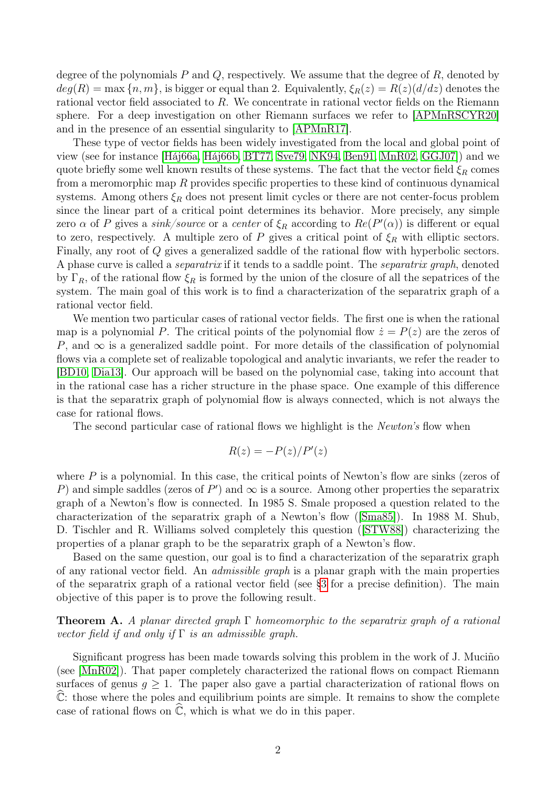degree of the polynomials  $P$  and  $Q$ , respectively. We assume that the degree of  $R$ , denoted by  $deg(R) = \max\{n, m\}$ , is bigger or equal than 2. Equivalently,  $\xi_R(z) = R(z)(d/dz)$  denotes the rational vector field associated to R. We concentrate in rational vector fields on the Riemann sphere. For a deep investigation on other Riemann surfaces we refer to [\[APMnRSCYR20\]](#page-23-0) and in the presence of an essential singularity to [\[APMnR17\]](#page-23-1).

These type of vector fields has been widely investigated from the local and global point of view (see for instance [\[Háj66a,](#page-24-0) [Háj66b,](#page-24-1) [BT77,](#page-24-2) [Sve79,](#page-24-3) [NK94,](#page-24-4) [Ben91,](#page-24-5) [MnR02,](#page-24-6) [GGJ07\]](#page-24-7)) and we quote briefly some well known results of these systems. The fact that the vector field  $\xi_R$  comes from a meromorphic map  $R$  provides specific properties to these kind of continuous dynamical systems. Among others  $\xi_R$  does not present limit cycles or there are not center-focus problem since the linear part of a critical point determines its behavior. More precisely, any simple zero  $\alpha$  of P gives a sink/source or a center of  $\xi_R$  according to  $Re(P'(\alpha))$  is different or equal to zero, respectively. A multiple zero of P gives a critical point of  $\xi_R$  with elliptic sectors. Finally, any root of Q gives a generalized saddle of the rational flow with hyperbolic sectors. A phase curve is called a separatrix if it tends to a saddle point. The separatrix graph, denoted by  $\Gamma_R$ , of the rational flow  $\xi_R$  is formed by the union of the closure of all the sepatrices of the system. The main goal of this work is to find a characterization of the separatrix graph of a rational vector field.

We mention two particular cases of rational vector fields. The first one is when the rational map is a polynomial P. The critical points of the polynomial flow  $\dot{z} = P(z)$  are the zeros of P, and  $\infty$  is a generalized saddle point. For more details of the classification of polynomial flows via a complete set of realizable topological and analytic invariants, we refer the reader to [\[BD10,](#page-24-8) [Dia13\]](#page-24-9). Our approach will be based on the polynomial case, taking into account that in the rational case has a richer structure in the phase space. One example of this difference is that the separatrix graph of polynomial flow is always connected, which is not always the case for rational flows.

The second particular case of rational flows we highlight is the Newton's flow when

$$
R(z) = -P(z)/P'(z)
$$

where  $P$  is a polynomial. In this case, the critical points of Newton's flow are sinks (zeros of P) and simple saddles (zeros of P') and  $\infty$  is a source. Among other properties the separatrix graph of a Newton's flow is connected. In 1985 S. Smale proposed a question related to the characterization of the separatrix graph of a Newton's flow ([\[Sma85\]](#page-24-10)). In 1988 M. Shub, D. Tischler and R. Williams solved completely this question ([\[STW88\]](#page-24-11)) characterizing the properties of a planar graph to be the separatrix graph of a Newton's flow.

Based on the same question, our goal is to find a characterization of the separatrix graph of any rational vector field. An admissible graph is a planar graph with the main properties of the separatrix graph of a rational vector field (see [§3](#page-8-0) for a precise definition). The main objective of this paper is to prove the following result.

**Theorem A.** A planar directed graph  $\Gamma$  homeomorphic to the separatrix graph of a rational vector field if and only if  $\Gamma$  is an admissible graph.

Significant progress has been made towards solving this problem in the work of J. Muciño (see [\[MnR02\]](#page-24-6)). That paper completely characterized the rational flows on compact Riemann surfaces of genus  $q > 1$ . The paper also gave a partial characterization of rational flows on  $\mathbb{C}$ : those where the poles and equilibrium points are simple. It remains to show the complete case of rational flows on  $\hat{\mathbb{C}}$ , which is what we do in this paper.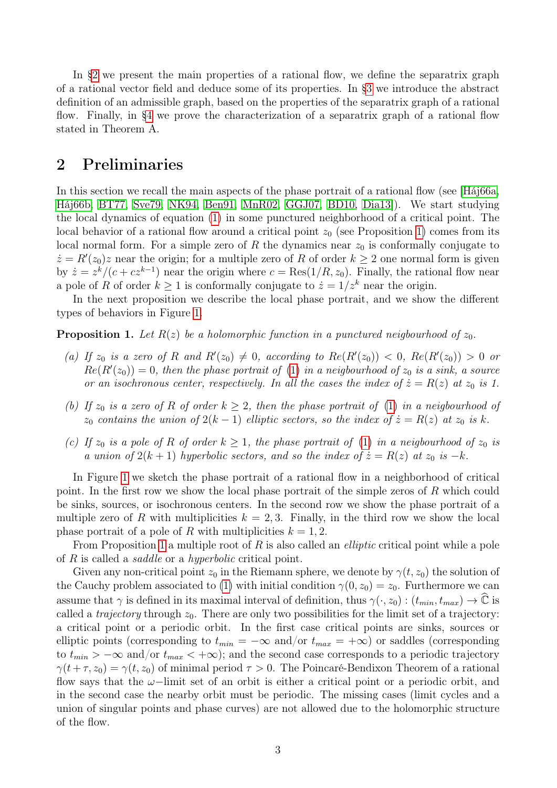In [§2](#page-2-0) we present the main properties of a rational flow, we define the separatrix graph of a rational vector field and deduce some of its properties. In [§3](#page-8-0) we introduce the abstract definition of an admissible graph, based on the properties of the separatrix graph of a rational flow. Finally, in [§4](#page-10-0) we prove the characterization of a separatrix graph of a rational flow stated in Theorem A.

# <span id="page-2-0"></span>2 Preliminaries

In this section we recall the main aspects of the phase portrait of a rational flow (see [\[Háj66a,](#page-24-0) [Háj66b,](#page-24-1) [BT77,](#page-24-2) [Sve79,](#page-24-3) [NK94,](#page-24-4) [Ben91,](#page-24-5) [MnR02,](#page-24-6) [GGJ07,](#page-24-7) [BD10,](#page-24-8) [Dia13\]](#page-24-9)). We start studying the local dynamics of equation [\(1\)](#page-0-0) in some punctured neighborhood of a critical point. The local behavior of a rational flow around a critical point  $z_0$  (see Proposition [1\)](#page-2-1) comes from its local normal form. For a simple zero of R the dynamics near  $z_0$  is conformally conjugate to  $\dot{z} = R'(z_0)z$  near the origin; for a multiple zero of R of order  $k \geq 2$  one normal form is given by  $\dot{z} = z^k/(c + cz^{k-1})$  near the origin where  $c = \text{Res}(1/R, z_0)$ . Finally, the rational flow near a pole of R of order  $k > 1$  is conformally conjugate to  $z = 1/z^k$  near the origin.

In the next proposition we describe the local phase portrait, and we show the different types of behaviors in Figure [1.](#page-3-0)

<span id="page-2-1"></span>**Proposition 1.** Let  $R(z)$  be a holomorphic function in a punctured neigbourhood of  $z_0$ .

- (a) If  $z_0$  is a zero of R and  $R'(z_0) \neq 0$ , according to  $Re(R'(z_0)) < 0$ ,  $Re(R'(z_0)) > 0$  or  $Re(R'(z_0)) = 0$ , then the phase portrait of [\(1\)](#page-0-0) in a neigbourhood of  $z_0$  is a sink, a source or an isochronous center, respectively. In all the cases the index of  $\dot{z} = R(z)$  at  $z_0$  is 1.
- (b) If  $z_0$  is a zero of R of order  $k > 2$ , then the phase portrait of [\(1\)](#page-0-0) in a neigbourhood of  $z_0$  contains the union of  $2(k-1)$  elliptic sectors, so the index of  $\dot{z} = R(z)$  at  $z_0$  is k.
- (c) If  $z_0$  is a pole of R of order  $k \geq 1$ , the phase portrait of [\(1\)](#page-0-0) in a neigbourhood of  $z_0$  is a union of  $2(k + 1)$  hyperbolic sectors, and so the index of  $\dot{z} = R(z)$  at  $z_0$  is  $-k$ .

In Figure [1](#page-3-0) we sketch the phase portrait of a rational flow in a neighborhood of critical point. In the first row we show the local phase portrait of the simple zeros of R which could be sinks, sources, or isochronous centers. In the second row we show the phase portrait of a multiple zero of R with multiplicities  $k = 2, 3$ . Finally, in the third row we show the local phase portrait of a pole of R with multiplicities  $k = 1, 2$ .

From Proposition [1](#page-2-1) a multiple root of R is also called an *elliptic* critical point while a pole of R is called a saddle or a hyperbolic critical point.

Given any non-critical point  $z_0$  in the Riemann sphere, we denote by  $\gamma(t, z_0)$  the solution of the Cauchy problem associated to [\(1\)](#page-0-0) with initial condition  $\gamma(0, z_0) = z_0$ . Furthermore we can assume that  $\gamma$  is defined in its maximal interval of definition, thus  $\gamma(\cdot, z_0) : (t_{min}, t_{max}) \to \mathbb{C}$  is called a *trajectory* through  $z_0$ . There are only two possibilities for the limit set of a trajectory: a critical point or a periodic orbit. In the first case critical points are sinks, sources or elliptic points (corresponding to  $t_{min} = -\infty$  and/or  $t_{max} = +\infty$ ) or saddles (corresponding to  $t_{min} > -\infty$  and/or  $t_{max} < +\infty$ ); and the second case corresponds to a periodic trajectory  $\gamma(t+\tau, z_0) = \gamma(t, z_0)$  of minimal period  $\tau > 0$ . The Poincaré-Bendixon Theorem of a rational flow says that the  $\omega$ -limit set of an orbit is either a critical point or a periodic orbit, and in the second case the nearby orbit must be periodic. The missing cases (limit cycles and a union of singular points and phase curves) are not allowed due to the holomorphic structure of the flow.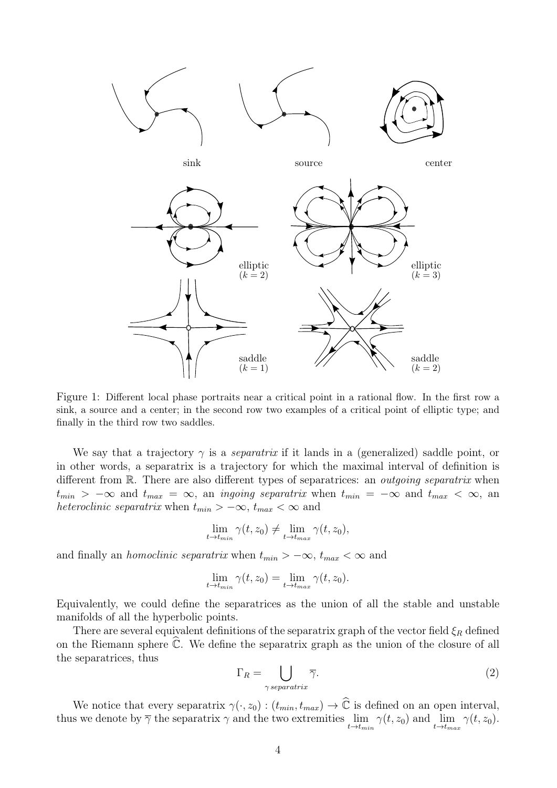

<span id="page-3-0"></span>Figure 1: Different local phase portraits near a critical point in a rational flow. In the first row a sink, a source and a center; in the second row two examples of a critical point of elliptic type; and finally in the third row two saddles.

We say that a trajectory  $\gamma$  is a *separatrix* if it lands in a (generalized) saddle point, or in other words, a separatrix is a trajectory for which the maximal interval of definition is different from R. There are also different types of separatrices: an *outgoing separatrix* when  $t_{min}$  >  $-\infty$  and  $t_{max} = \infty$ , an *ingoing separatrix* when  $t_{min} = -\infty$  and  $t_{max} < \infty$ , an heteroclinic separatrix when  $t_{min} > -\infty$ ,  $t_{max} < \infty$  and

$$
\lim_{t \to t_{min}} \gamma(t, z_0) \neq \lim_{t \to t_{max}} \gamma(t, z_0),
$$

and finally an *homoclinic separatrix* when  $t_{min} > -\infty$ ,  $t_{max} < \infty$  and

$$
\lim_{t \to t_{min}} \gamma(t, z_0) = \lim_{t \to t_{max}} \gamma(t, z_0).
$$

Equivalently, we could define the separatrices as the union of all the stable and unstable manifolds of all the hyperbolic points.

There are several equivalent definitions of the separatrix graph of the vector field  $\xi_R$  defined on the Riemann sphere  $\hat{\mathbb{C}}$ . We define the separatrix graph as the union of the closure of all the separatrices, thus

<span id="page-3-1"></span>
$$
\Gamma_R = \bigcup_{\gamma \, separation \, r \, in \, T} \overline{\gamma}.\tag{2}
$$

We notice that every separatrix  $\gamma(\cdot, z_0) : (t_{min}, t_{max}) \to \hat{\mathbb{C}}$  is defined on an open interval, thus we denote by  $\overline{\gamma}$  the separatrix  $\gamma$  and the two extremities  $\lim_{t \to t_{min}} \gamma(t, z_0)$  and  $\lim_{t \to t_{max}} \gamma(t, z_0)$ .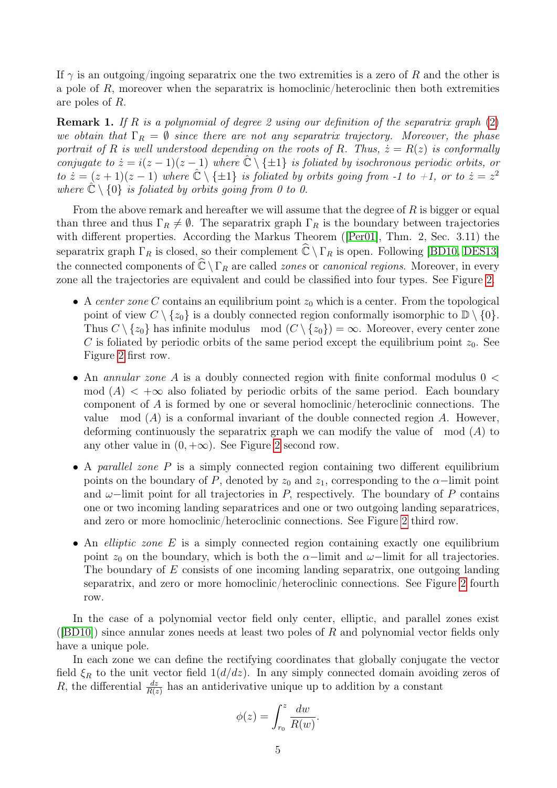If  $\gamma$  is an outgoing/ingoing separatrix one the two extremities is a zero of R and the other is a pole of  $R$ , moreover when the separatrix is homoclinic/heteroclinic then both extremities are poles of R.

<span id="page-4-0"></span>**Remark 1.** If R is a polynomial of degree 2 using our definition of the separatrix graph  $(2)$ we obtain that  $\Gamma_R = \emptyset$  since there are not any separatrix trajectory. Moreover, the phase portrait of R is well understood depending on the roots of R. Thus,  $\dot{z} = R(z)$  is conformally conjugate to  $\dot{z} = i(z-1)(z-1)$  where  $\hat{C} \setminus {\pm 1}$  is foliated by isochronous periodic orbits, or to  $\dot{z} = (z+1)(z-1)$  where  $\hat{C} \setminus {\pm 1}$  is foliated by orbits going from -1 to +1, or to  $\dot{z} = z^2$ where  $\mathbb{C} \setminus \{0\}$  is foliated by orbits going from 0 to 0.

From the above remark and hereafter we will assume that the degree of  $R$  is bigger or equal than three and thus  $\Gamma_R \neq \emptyset$ . The separatrix graph  $\Gamma_R$  is the boundary between trajectories with different properties. According the Markus Theorem ([\[Per01\]](#page-24-12), Thm. 2, Sec. 3.11) the separatrix graph  $\Gamma_R$  is closed, so their complement  $\widehat{\mathbb{C}} \setminus \Gamma_R$  is open. Following [\[BD10,](#page-24-8) [DES13\]](#page-24-13) the connected components of  $\widehat{\mathbb{C}} \setminus \Gamma_R$  are called *zones* or *canonical regions*. Moreover, in every zone all the trajectories are equivalent and could be classified into four types. See Figure [2.](#page-5-0)

- A center zone C contains an equilibrium point  $z_0$  which is a center. From the topological point of view  $C \setminus \{z_0\}$  is a doubly connected region conformally isomorphic to  $\mathbb{D} \setminus \{0\}$ . Thus  $C \setminus \{z_0\}$  has infinite modulus mod  $(C \setminus \{z_0\}) = \infty$ . Moreover, every center zone C is foliated by periodic orbits of the same period except the equilibrium point  $z_0$ . See Figure [2](#page-5-0) first row.
- An *annular zone A* is a doubly connected region with finite conformal modulus  $0 <$ mod  $(A)$  <  $+\infty$  also foliated by periodic orbits of the same period. Each boundary component of A is formed by one or several homoclinic/heteroclinic connections. The value mod  $(A)$  is a conformal invariant of the double connected region A. However, deforming continuously the separatrix graph we can modify the value of mod (A) to any other value in  $(0, +\infty)$ . See Figure [2](#page-5-0) second row.
- A parallel zone P is a simply connected region containing two different equilibrium points on the boundary of P, denoted by  $z_0$  and  $z_1$ , corresponding to the  $\alpha$ -limit point and  $\omega$ –limit point for all trajectories in P, respectively. The boundary of P contains one or two incoming landing separatrices and one or two outgoing landing separatrices, and zero or more homoclinic/heteroclinic connections. See Figure [2](#page-5-0) third row.
- An *elliptic zone*  $E$  is a simply connected region containing exactly one equilibrium point  $z_0$  on the boundary, which is both the  $\alpha$ −limit and  $\omega$ −limit for all trajectories. The boundary of E consists of one incoming landing separatrix, one outgoing landing separatrix, and zero or more homoclinic/heteroclinic connections. See Figure [2](#page-5-0) fourth row.

In the case of a polynomial vector field only center, elliptic, and parallel zones exist ( $[BD10]$ ) since annular zones needs at least two poles of R and polynomial vector fields only have a unique pole.

In each zone we can define the rectifying coordinates that globally conjugate the vector field  $\xi_R$  to the unit vector field  $1(d/dz)$ . In any simply connected domain avoiding zeros of R, the differential  $\frac{dz}{R(z)}$  has an antiderivative unique up to addition by a constant

$$
\phi(z) = \int_{r_0}^z \frac{dw}{R(w)}.
$$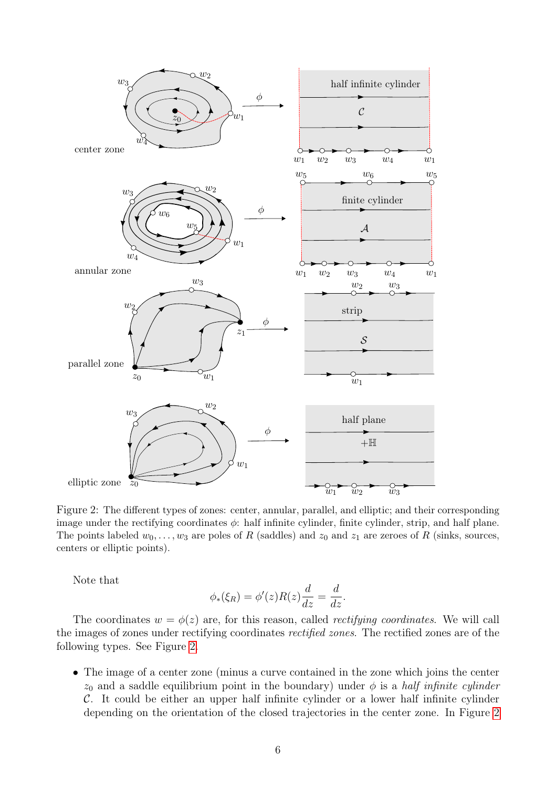

<span id="page-5-0"></span>Figure 2: The different types of zones: center, annular, parallel, and elliptic; and their corresponding image under the rectifying coordinates  $\phi$ : half infinite cylinder, finite cylinder, strip, and half plane. The points labeled  $w_0, \ldots, w_3$  are poles of R (saddles) and  $z_0$  and  $z_1$  are zeroes of R (sinks, sources, centers or elliptic points).

Note that

$$
\phi_*(\xi_R) = \phi'(z)R(z)\frac{d}{dz} = \frac{d}{dz}.
$$

The coordinates  $w = \phi(z)$  are, for this reason, called *rectifying coordinates*. We will call the images of zones under rectifying coordinates rectified zones. The rectified zones are of the following types. See Figure [2.](#page-5-0)

• The image of a center zone (minus a curve contained in the zone which joins the center  $z_0$  and a saddle equilibrium point in the boundary) under  $\phi$  is a *half infinite cylinder* C. It could be either an upper half infinite cylinder or a lower half infinite cylinder depending on the orientation of the closed trajectories in the center zone. In Figure [2](#page-5-0)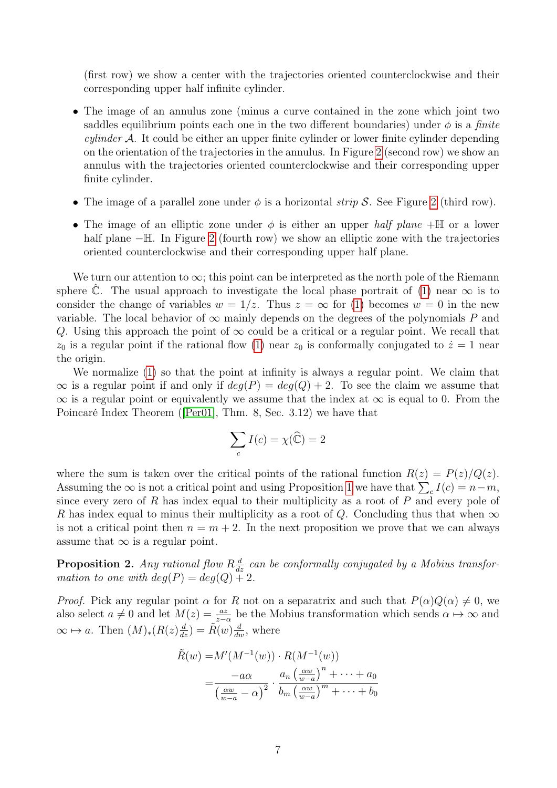(first row) we show a center with the trajectories oriented counterclockwise and their corresponding upper half infinite cylinder.

- The image of an annulus zone (minus a curve contained in the zone which joint two saddles equilibrium points each one in the two different boundaries) under  $\phi$  is a *finite cylinder*  $\mathcal{A}$ . It could be either an upper finite cylinder or lower finite cylinder depending on the orientation of the trajectories in the annulus. In Figure [2](#page-5-0) (second row) we show an annulus with the trajectories oriented counterclockwise and their corresponding upper finite cylinder.
- The image of a parallel zone under  $\phi$  is a horizontal *strip S*. See Figure [2](#page-5-0) (third row).
- The image of an elliptic zone under  $\phi$  is either an upper half plane  $+\mathbb{H}$  or a lower half plane −H. In Figure [2](#page-5-0) (fourth row) we show an elliptic zone with the trajectories oriented counterclockwise and their corresponding upper half plane.

We turn our attention to  $\infty$ ; this point can be interpreted as the north pole of the Riemann sphere  $\hat{\mathbb{C}}$ . The usual approach to investigate the local phase portrait of [\(1\)](#page-0-0) near  $\infty$  is to consider the change of variables  $w = 1/z$ . Thus  $z = \infty$  for [\(1\)](#page-0-0) becomes  $w = 0$  in the new variable. The local behavior of  $\infty$  mainly depends on the degrees of the polynomials P and Q. Using this approach the point of  $\infty$  could be a critical or a regular point. We recall that  $z_0$  is a regular point if the rational flow [\(1\)](#page-0-0) near  $z_0$  is conformally conjugated to  $\dot{z}=1$  near the origin.

We normalize [\(1\)](#page-0-0) so that the point at infinity is always a regular point. We claim that  $\infty$  is a regular point if and only if  $deg(P) = deg(Q) + 2$ . To see the claim we assume that  $\infty$  is a regular point or equivalently we assume that the index at  $\infty$  is equal to 0. From the Poincaré Index Theorem ([\[Per01\]](#page-24-12), Thm. 8, Sec. 3.12) we have that

$$
\sum_{c} I(c) = \chi(\widehat{\mathbb{C}}) = 2
$$

where the sum is taken over the critical points of the rational function  $R(z) = P(z)/Q(z)$ . Assuming the  $\infty$  is not a critical point and using Proposition [1](#page-2-1) we have that  $\sum_{c} I(c) = n - m$ , since every zero of R has index equal to their multiplicity as a root of P and every pole of R has index equal to minus their multiplicity as a root of Q. Concluding thus that when  $\infty$ is not a critical point then  $n = m + 2$ . In the next proposition we prove that we can always assume that  $\infty$  is a regular point.

<span id="page-6-0"></span>**Proposition 2.** Any rational flow  $R\frac{d}{dz}$  can be conformally conjugated by a Mobius transformation to one with  $deg(P) = deg(Q) + 2$ .

*Proof.* Pick any regular point  $\alpha$  for R not on a separatrix and such that  $P(\alpha)Q(\alpha) \neq 0$ , we also select  $a \neq 0$  and let  $M(z) = \frac{az}{z-\alpha}$  be the Mobius transformation which sends  $\alpha \mapsto \infty$  and  $\infty \mapsto a$ . Then  $(M)_*(R(z) \frac{d}{dz}) = \tilde{R}(w) \frac{d}{dw}$ , where

$$
\tilde{R}(w) = M'(M^{-1}(w)) \cdot R(M^{-1}(w))
$$
\n
$$
= \frac{-a\alpha}{\left(\frac{\alpha w}{w-a} - \alpha\right)^2} \cdot \frac{a_n \left(\frac{\alpha w}{w-a}\right)^n + \dots + a_0}{b_m \left(\frac{\alpha w}{w-a}\right)^m + \dots + b_0}
$$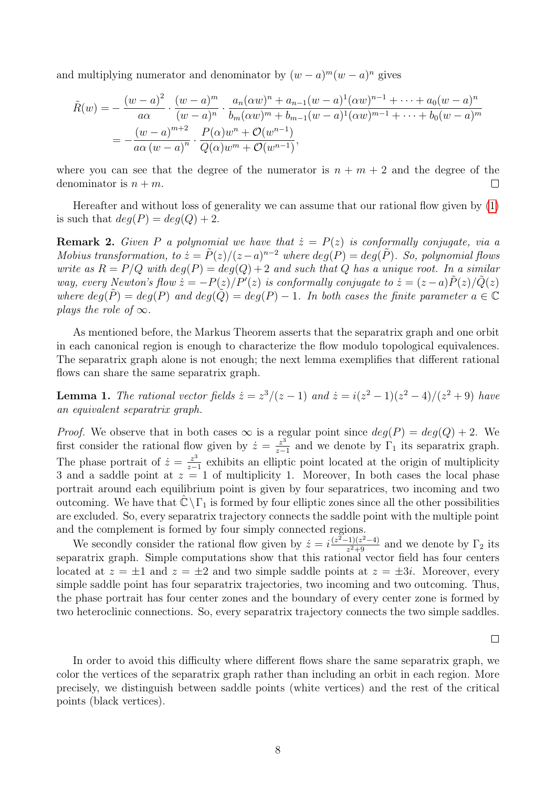and multiplying numerator and denominator by  $(w - a)^m (w - a)^n$  gives

$$
\tilde{R}(w) = -\frac{(w-a)^2}{a\alpha} \cdot \frac{(w-a)^m}{(w-a)^n} \cdot \frac{a_n(\alpha w)^n + a_{n-1}(w-a)^1(\alpha w)^{n-1} + \dots + a_0(w-a)^n}{b_m(\alpha w)^m + b_{m-1}(w-a)^1(\alpha w)^{m-1} + \dots + b_0(w-a)^m}
$$
\n
$$
= -\frac{(w-a)^{m+2}}{a\alpha (w-a)^n} \cdot \frac{P(\alpha)w^n + O(w^{n-1})}{Q(\alpha)w^m + O(w^{n-1})},
$$

where you can see that the degree of the numerator is  $n + m + 2$  and the degree of the denominator is  $n + m$ .  $\Box$ 

Hereafter and without loss of generality we can assume that our rational flow given by [\(1\)](#page-0-0) is such that  $deg(P) = deg(Q) + 2$ .

**Remark 2.** Given P a polynomial we have that  $\dot{z} = P(z)$  is conformally conjugate, via a Mobius transformation, to  $\dot{z} = \tilde{P}(z)/(z-a)^{n-2}$  where  $deg(P) = deg(\tilde{P})$ . So, polynomial flows write as  $R = P/Q$  with  $deg(P) = deg(Q) + 2$  and such that Q has a unique root. In a similar way, every Newton's flow  $\dot{z} = -P(z)/P'(z)$  is conformally conjugate to  $\dot{z} = (z-a)\tilde{P}(z)/\tilde{Q}(z)$ where  $deg(\tilde{P}) = deg(P)$  and  $deg(\tilde{Q}) = deg(P) - 1$ . In both cases the finite parameter  $a \in \mathbb{C}$ plays the role of  $\infty$ .

As mentioned before, the Markus Theorem asserts that the separatrix graph and one orbit in each canonical region is enough to characterize the flow modulo topological equivalences. The separatrix graph alone is not enough; the next lemma exemplifies that different rational flows can share the same separatrix graph.

**Lemma 1.** The rational vector fields  $\dot{z} = z^3/(z-1)$  and  $\dot{z} = i(z^2-1)(z^2-4)/(z^2+9)$  have an equivalent separatrix graph.

*Proof.* We observe that in both cases  $\infty$  is a regular point since  $deg(P) = deg(Q) + 2$ . We first consider the rational flow given by  $\dot{z} = \frac{z^3}{z-1}$  $\frac{z^3}{z-1}$  and we denote by  $\Gamma_1$  its separatrix graph. The phase portrait of  $\dot{z} = \frac{z^3}{z-1}$  $\frac{z^3}{z-1}$  exhibits an elliptic point located at the origin of multiplicity 3 and a saddle point at  $z = 1$  of multiplicity 1. Moreover, In both cases the local phase portrait around each equilibrium point is given by four separatrices, two incoming and two outcoming. We have that  $\mathbb{C} \backslash \Gamma_1$  is formed by four elliptic zones since all the other possibilities are excluded. So, every separatrix trajectory connects the saddle point with the multiple point and the complement is formed by four simply connected regions.

We secondly consider the rational flow given by  $\dot{z} = i \frac{(z^2-1)(z^2-4)}{z^2+9}$  $\frac{(-1)(z^2-4)}{z^2+9}$  and we denote by  $\Gamma_2$  its separatrix graph. Simple computations show that this rational vector field has four centers located at  $z = \pm 1$  and  $z = \pm 2$  and two simple saddle points at  $z = \pm 3i$ . Moreover, every simple saddle point has four separatrix trajectories, two incoming and two outcoming. Thus, the phase portrait has four center zones and the boundary of every center zone is formed by two heteroclinic connections. So, every separatrix trajectory connects the two simple saddles.

 $\Box$ 

In order to avoid this difficulty where different flows share the same separatrix graph, we color the vertices of the separatrix graph rather than including an orbit in each region. More precisely, we distinguish between saddle points (white vertices) and the rest of the critical points (black vertices).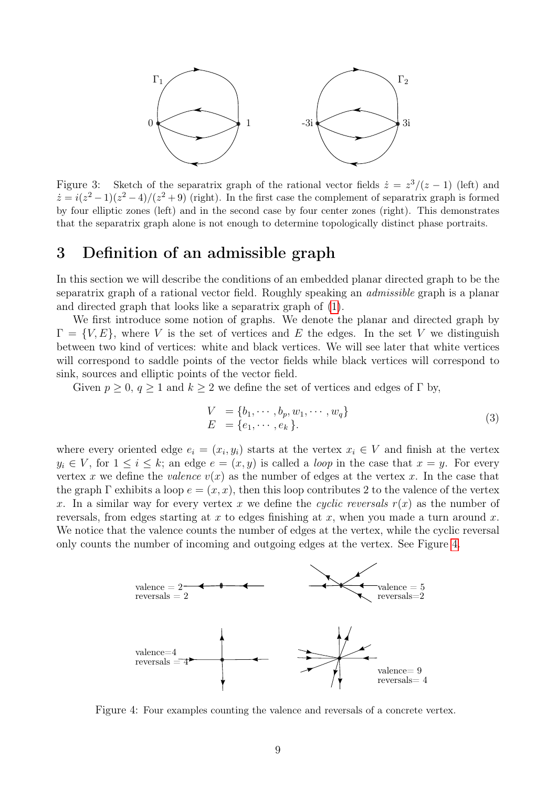

Figure 3: Sketch of the separatrix graph of the rational vector fields  $\dot{z} = z^3/(z-1)$  (left) and  $\dot{z} = i(z^2 - 1)(z^2 - 4)/(z^2 + 9)$  (right). In the first case the complement of separatrix graph is formed by four elliptic zones (left) and in the second case by four center zones (right). This demonstrates that the separatrix graph alone is not enough to determine topologically distinct phase portraits.

## <span id="page-8-0"></span>3 Definition of an admissible graph

In this section we will describe the conditions of an embedded planar directed graph to be the separatrix graph of a rational vector field. Roughly speaking an admissible graph is a planar and directed graph that looks like a separatrix graph of [\(1\)](#page-0-0).

We first introduce some notion of graphs. We denote the planar and directed graph by  $\Gamma = \{V, E\}$ , where V is the set of vertices and E the edges. In the set V we distinguish between two kind of vertices: white and black vertices. We will see later that white vertices will correspond to saddle points of the vector fields while black vertices will correspond to sink, sources and elliptic points of the vector field.

Given  $p \geq 0$ ,  $q \geq 1$  and  $k \geq 2$  we define the set of vertices and edges of  $\Gamma$  by,

$$
V = \{b_1, \dots, b_p, w_1, \dots, w_q\}
$$
  
\n
$$
E = \{e_1, \dots, e_k\}.
$$
\n(3)

where every oriented edge  $e_i = (x_i, y_i)$  starts at the vertex  $x_i \in V$  and finish at the vertex  $y_i \in V$ , for  $1 \leq i \leq k$ ; an edge  $e = (x, y)$  is called a *loop* in the case that  $x = y$ . For every vertex x we define the valence  $v(x)$  as the number of edges at the vertex x. In the case that the graph  $\Gamma$  exhibits a loop  $e = (x, x)$ , then this loop contributes 2 to the valence of the vertex x. In a similar way for every vertex x we define the cyclic reversals  $r(x)$  as the number of reversals, from edges starting at x to edges finishing at x, when you made a turn around x. We notice that the valence counts the number of edges at the vertex, while the cyclic reversal only counts the number of incoming and outgoing edges at the vertex. See Figure [4.](#page-8-1)



<span id="page-8-1"></span>Figure 4: Four examples counting the valence and reversals of a concrete vertex.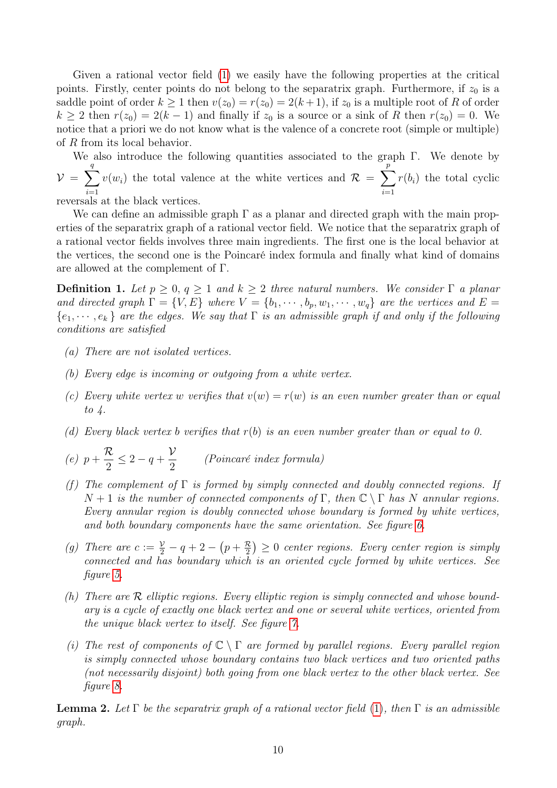Given a rational vector field [\(1\)](#page-0-0) we easily have the following properties at the critical points. Firstly, center points do not belong to the separatrix graph. Furthermore, if  $z_0$  is a saddle point of order  $k \ge 1$  then  $v(z_0) = r(z_0) = 2(k+1)$ , if  $z_0$  is a multiple root of R of order  $k \geq 2$  then  $r(z_0) = 2(k-1)$  and finally if  $z_0$  is a source or a sink of R then  $r(z_0) = 0$ . We notice that a priori we do not know what is the valence of a concrete root (simple or multiple) of R from its local behavior.

We also introduce the following quantities associated to the graph Γ. We denote by  $v = \sum$ q  $i=1$  $v(w_i)$  the total valence at the white vertices and  $\mathcal{R} = \sum$ p  $i=1$  $r(b_i)$  the total cyclic

reversals at the black vertices.

We can define an admissible graph  $\Gamma$  as a planar and directed graph with the main properties of the separatrix graph of a rational vector field. We notice that the separatrix graph of a rational vector fields involves three main ingredients. The first one is the local behavior at the vertices, the second one is the Poincaré index formula and finally what kind of domains are allowed at the complement of Γ.

<span id="page-9-1"></span>**Definition 1.** Let  $p \geq 0$ ,  $q \geq 1$  and  $k \geq 2$  three natural numbers. We consider  $\Gamma$  a planar and directed graph  $\Gamma = \{V, E\}$  where  $V = \{b_1, \cdots, b_p, w_1, \cdots, w_q\}$  are the vertices and  $E =$  ${e_1, \dots, e_k}$  are the edges. We say that  $\Gamma$  is an admissible graph if and only if the following conditions are satisfied

- (a) There are not isolated vertices.
- (b) Every edge is incoming or outgoing from a white vertex.
- (c) Every white vertex w verifies that  $v(w) = r(w)$  is an even number greater than or equal to  $\lambda$ .
- (d) Every black vertex b verifies that  $r(b)$  is an even number greater than or equal to 0.
- $(e)$   $p +$  $\mathcal R$ 2  $\leq 2 - q +$  $\mathcal V$ 2 (Poincaré index formula)
- (f) The complement of  $\Gamma$  is formed by simply connected and doubly connected regions. If  $N+1$  is the number of connected components of  $\Gamma$ , then  $\mathbb{C} \setminus \Gamma$  has N annular regions. Every annular region is doubly connected whose boundary is formed by white vertices, and both boundary components have the same orientation. See figure [6.](#page-12-0)
- (g) There are  $c := \frac{y}{2} q + 2 (p + \frac{\mathcal{R}}{2})$  $(\frac{\mathcal{R}}{2}) \geq 0$  center regions. Every center region is simply connected and has boundary which is an oriented cycle formed by white vertices. See figure [5.](#page-11-0)
- (h) There are R elliptic regions. Every elliptic region is simply connected and whose boundary is a cycle of exactly one black vertex and one or several white vertices, oriented from the unique black vertex to itself. See figure [7.](#page-12-1)
- (i) The rest of components of  $\mathbb{C} \setminus \Gamma$  are formed by parallel regions. Every parallel region is simply connected whose boundary contains two black vertices and two oriented paths (not necessarily disjoint) both going from one black vertex to the other black vertex. See figure [8.](#page-13-0)

<span id="page-9-0"></span>**Lemma 2.** Let  $\Gamma$  be the separatrix graph of a rational vector field [\(1\)](#page-0-0), then  $\Gamma$  is an admissible graph.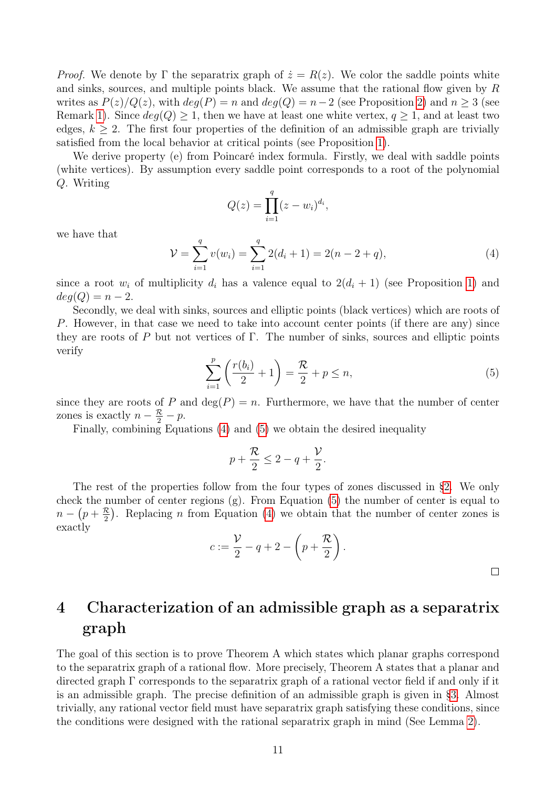*Proof.* We denote by  $\Gamma$  the separatrix graph of  $\dot{z} = R(z)$ . We color the saddle points white and sinks, sources, and multiple points black. We assume that the rational flow given by R writes as  $P(z)/Q(z)$ , with  $deg(P) = n$  and  $deg(Q) = n-2$  (see Proposition [2\)](#page-6-0) and  $n \geq 3$  (see Remark [1\)](#page-4-0). Since  $deg(Q) \geq 1$ , then we have at least one white vertex,  $q \geq 1$ , and at least two edges,  $k \geq 2$ . The first four properties of the definition of an admissible graph are trivially satisfied from the local behavior at critical points (see Proposition [1\)](#page-2-1).

We derive property (e) from Poincaré index formula. Firstly, we deal with saddle points (white vertices). By assumption every saddle point corresponds to a root of the polynomial Q. Writing

$$
Q(z) = \prod_{i=1}^{q} (z - w_i)^{d_i},
$$

we have that

<span id="page-10-1"></span>
$$
\mathcal{V} = \sum_{i=1}^{q} v(w_i) = \sum_{i=1}^{q} 2(d_i + 1) = 2(n - 2 + q), \tag{4}
$$

since a root  $w_i$  of multiplicity  $d_i$  has a valence equal to  $2(d_i + 1)$  $2(d_i + 1)$  (see Proposition 1) and  $deg(Q) = n-2.$ 

Secondly, we deal with sinks, sources and elliptic points (black vertices) which are roots of P. However, in that case we need to take into account center points (if there are any) since they are roots of P but not vertices of  $\Gamma$ . The number of sinks, sources and elliptic points verify

<span id="page-10-2"></span>
$$
\sum_{i=1}^{p} \left( \frac{r(b_i)}{2} + 1 \right) = \frac{\mathcal{R}}{2} + p \le n,
$$
\n(5)

since they are roots of P and  $deg(P) = n$ . Furthermore, we have that the number of center zones is exactly  $n - \frac{R}{2} - p$ .

Finally, combining Equations [\(4\)](#page-10-1) and [\(5\)](#page-10-2) we obtain the desired inequality

$$
p + \frac{\mathcal{R}}{2} \le 2 - q + \frac{\mathcal{V}}{2}.
$$

The rest of the properties follow from the four types of zones discussed in [§2.](#page-2-0) We only check the number of center regions  $(g)$ . From Equation [\(5\)](#page-10-2) the number of center is equal to  $n-(p+\frac{\mathcal{R}}{2})$  $\frac{\mathcal{R}}{2}$ . Replacing *n* from Equation [\(4\)](#page-10-1) we obtain that the number of center zones is exactly

$$
c := \frac{\mathcal{V}}{2} - q + 2 - \left(p + \frac{\mathcal{R}}{2}\right).
$$

# <span id="page-10-0"></span>4 Characterization of an admissible graph as a separatrix graph

The goal of this section is to prove Theorem A which states which planar graphs correspond to the separatrix graph of a rational flow. More precisely, Theorem A states that a planar and directed graph Γ corresponds to the separatrix graph of a rational vector field if and only if it is an admissible graph. The precise definition of an admissible graph is given in [§3.](#page-8-0) Almost trivially, any rational vector field must have separatrix graph satisfying these conditions, since the conditions were designed with the rational separatrix graph in mind (See Lemma [2\)](#page-9-0).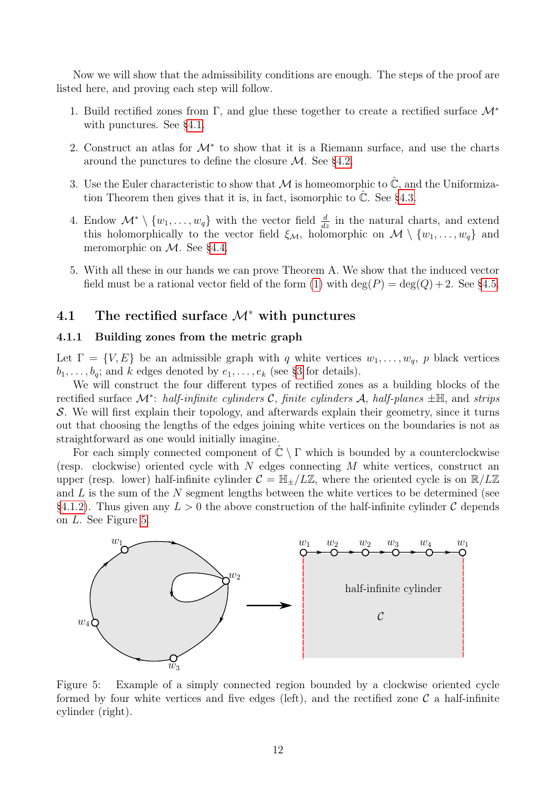Now we will show that the admissibility conditions are enough. The steps of the proof are listed here, and proving each step will follow.

- 1. Build rectified zones from Γ, and glue these together to create a rectified surface  $\mathcal{M}^*$ with punctures. See [§4.1.](#page-11-1)
- 2. Construct an atlas for  $\mathcal{M}^*$  to show that it is a Riemann surface, and use the charts around the punctures to define the closure  $\mathcal{M}$ . See [§4.2.](#page-14-0)
- 3. Use the Euler characteristic to show that M is homeomorphic to  $\mathbb{C}$ , and the Uniformization Theorem then gives that it is, in fact, isomorphic to  $\mathbb{C}$ . See [§4.3.](#page-16-0)
- 4. Endow  $\mathcal{M}^* \setminus \{w_1, \ldots, w_q\}$  with the vector field  $\frac{d}{dz}$  in the natural charts, and extend this holomorphically to the vector field  $\xi_{\mathcal{M}}$ , holomorphic on  $\mathcal{M} \setminus \{w_1, \ldots, w_q\}$  and meromorphic on  $\mathcal{M}$ . See [§4.4.](#page-17-0)
- 5. With all these in our hands we can prove Theorem A. We show that the induced vector field must be a rational vector field of the form [\(1\)](#page-0-0) with  $deg(P) = deg(Q) + 2$ . See [§4.5.](#page-19-0)

### <span id="page-11-1"></span>4.1 The rectified surface  $\mathcal{M}^*$  with punctures

#### 4.1.1 Building zones from the metric graph

Let  $\Gamma = \{V, E\}$  be an admissible graph with q white vertices  $w_1, \ldots, w_q$ , p black vertices  $b_1, \ldots, b_q$ ; and k edges denoted by  $e_1, \ldots, e_k$  (see [§3](#page-8-0) for details).

We will construct the four different types of rectified zones as a building blocks of the rectified surface  $\mathcal{M}^*$ : half-infinite cylinders C, finite cylinders A, half-planes  $\pm \mathbb{H}$ , and strips S. We will first explain their topology, and afterwards explain their geometry, since it turns out that choosing the lengths of the edges joining white vertices on the boundaries is not as straightforward as one would initially imagine.

For each simply connected component of  $\mathbb{C} \setminus \Gamma$  which is bounded by a counterclockwise (resp. clockwise) oriented cycle with  $N$  edges connecting  $M$  white vertices, construct an upper (resp. lower) half-infinite cylinder  $\mathcal{C} = \mathbb{H}_+ / L\mathbb{Z}$ , where the oriented cycle is on  $\mathbb{R} / L\mathbb{Z}$ and  $L$  is the sum of the  $N$  segment lengths between the white vertices to be determined (see [§4.1.2\)](#page-13-1). Thus given any  $L > 0$  the above construction of the half-infinite cylinder C depends on L. See Figure [5.](#page-11-0)



<span id="page-11-0"></span>Figure 5: Example of a simply connected region bounded by a clockwise oriented cycle formed by four white vertices and five edges (left), and the rectified zone  $\mathcal C$  a half-infinite cylinder (right).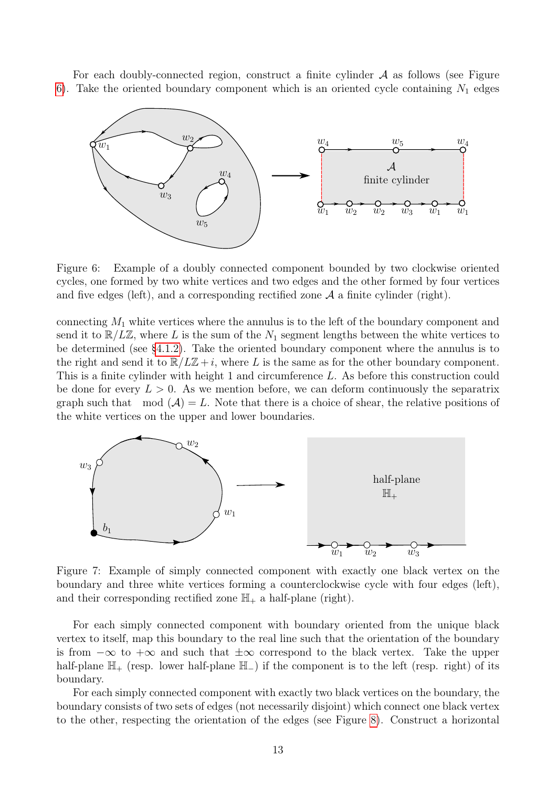For each doubly-connected region, construct a finite cylinder  $A$  as follows (see Figure [6\)](#page-12-0). Take the oriented boundary component which is an oriented cycle containing  $N_1$  edges



<span id="page-12-0"></span>Figure 6: Example of a doubly connected component bounded by two clockwise oriented cycles, one formed by two white vertices and two edges and the other formed by four vertices and five edges (left), and a corresponding rectified zone  $A$  a finite cylinder (right).

connecting  $M_1$  white vertices where the annulus is to the left of the boundary component and send it to  $\mathbb{R}/L\mathbb{Z}$ , where L is the sum of the  $N_1$  segment lengths between the white vertices to be determined (see [§4.1.2\)](#page-13-1). Take the oriented boundary component where the annulus is to the right and send it to  $\mathbb{R}/L\mathbb{Z}+i$ , where L is the same as for the other boundary component. This is a finite cylinder with height 1 and circumference L. As before this construction could be done for every  $L > 0$ . As we mention before, we can deform continuously the separatrix graph such that mod  $(A) = L$ . Note that there is a choice of shear, the relative positions of the white vertices on the upper and lower boundaries.



<span id="page-12-1"></span>Figure 7: Example of simply connected component with exactly one black vertex on the boundary and three white vertices forming a counterclockwise cycle with four edges (left), and their corresponding rectified zone  $\mathbb{H}_+$  a half-plane (right).

For each simply connected component with boundary oriented from the unique black vertex to itself, map this boundary to the real line such that the orientation of the boundary is from  $-\infty$  to  $+\infty$  and such that  $\pm\infty$  correspond to the black vertex. Take the upper half-plane  $\mathbb{H}_+$  (resp. lower half-plane  $\mathbb{H}_-$ ) if the component is to the left (resp. right) of its boundary.

For each simply connected component with exactly two black vertices on the boundary, the boundary consists of two sets of edges (not necessarily disjoint) which connect one black vertex to the other, respecting the orientation of the edges (see Figure [8\)](#page-13-0). Construct a horizontal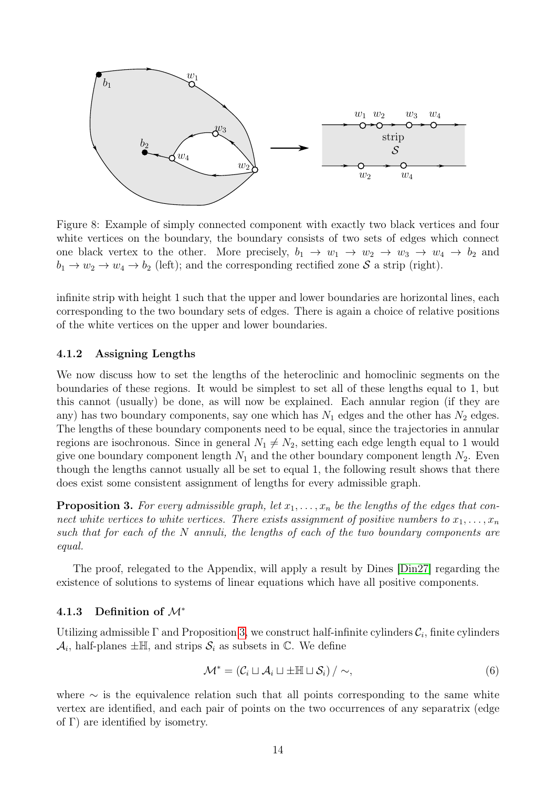

<span id="page-13-0"></span>Figure 8: Example of simply connected component with exactly two black vertices and four white vertices on the boundary, the boundary consists of two sets of edges which connect one black vertex to the other. More precisely,  $b_1 \rightarrow w_1 \rightarrow w_2 \rightarrow w_3 \rightarrow w_4 \rightarrow b_2$  and  $b_1 \rightarrow w_2 \rightarrow w_4 \rightarrow b_2$  (left); and the corresponding rectified zone S a strip (right).

infinite strip with height 1 such that the upper and lower boundaries are horizontal lines, each corresponding to the two boundary sets of edges. There is again a choice of relative positions of the white vertices on the upper and lower boundaries.

#### <span id="page-13-1"></span>4.1.2 Assigning Lengths

We now discuss how to set the lengths of the heteroclinic and homoclinic segments on the boundaries of these regions. It would be simplest to set all of these lengths equal to 1, but this cannot (usually) be done, as will now be explained. Each annular region (if they are any) has two boundary components, say one which has  $N_1$  edges and the other has  $N_2$  edges. The lengths of these boundary components need to be equal, since the trajectories in annular regions are isochronous. Since in general  $N_1 \neq N_2$ , setting each edge length equal to 1 would give one boundary component length  $N_1$  and the other boundary component length  $N_2$ . Even though the lengths cannot usually all be set to equal 1, the following result shows that there does exist some consistent assignment of lengths for every admissible graph.

<span id="page-13-2"></span>**Proposition 3.** For every admissible graph, let  $x_1, \ldots, x_n$  be the lengths of the edges that connect white vertices to white vertices. There exists assignment of positive numbers to  $x_1, \ldots, x_n$ such that for each of the N annuli, the lengths of each of the two boundary components are equal.

The proof, relegated to the Appendix, will apply a result by Dines [\[Din27\]](#page-24-14) regarding the existence of solutions to systems of linear equations which have all positive components.

#### 4.1.3 Definition of  $\mathcal{M}^*$

Utilizing admissible  $\Gamma$  and Proposition [3,](#page-13-2) we construct half-infinite cylinders  $\mathcal{C}_i$ , finite cylinders  $\mathcal{A}_i$ , half-planes  $\pm \mathbb{H}$ , and strips  $\mathcal{S}_i$  as subsets in  $\mathbb{C}$ . We define

$$
\mathcal{M}^* = \left(\mathcal{C}_i \sqcup \mathcal{A}_i \sqcup \pm \mathbb{H} \sqcup \mathcal{S}_i\right) / \sim,
$$
\n<sup>(6)</sup>

where  $\sim$  is the equivalence relation such that all points corresponding to the same white vertex are identified, and each pair of points on the two occurrences of any separatrix (edge of  $\Gamma$ ) are identified by isometry.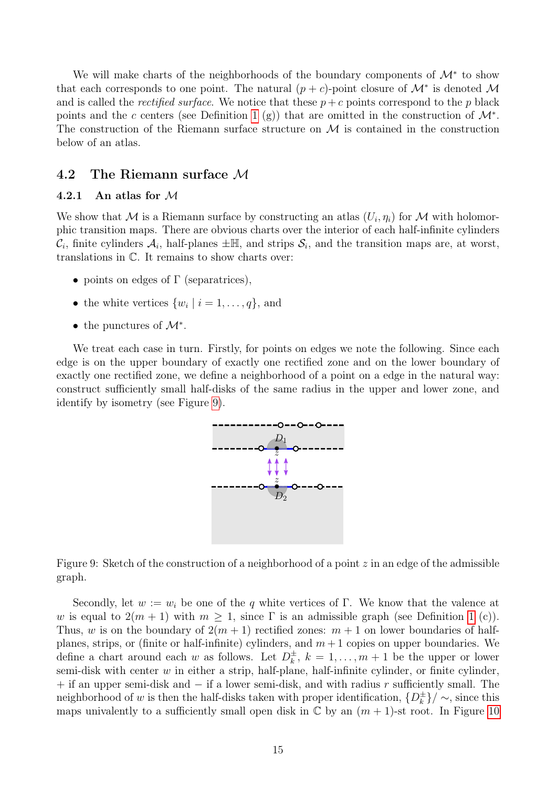We will make charts of the neighborhoods of the boundary components of  $\mathcal{M}^*$  to show that each corresponds to one point. The natural  $(p + c)$ -point closure of  $\mathcal{M}^*$  is denoted M and is called the *rectified surface*. We notice that these  $p + c$  points correspond to the p black points and the c centers (see Definition [1](#page-9-1) (g)) that are omitted in the construction of  $\mathcal{M}^*$ . The construction of the Riemann surface structure on  $\mathcal M$  is contained in the construction below of an atlas.

### <span id="page-14-0"></span>4.2 The Riemann surface M

### <span id="page-14-2"></span>4.2.1 An atlas for M

We show that M is a Riemann surface by constructing an atlas  $(U_i, \eta_i)$  for M with holomorphic transition maps. There are obvious charts over the interior of each half-infinite cylinders  $\mathcal{C}_i$ , finite cylinders  $\mathcal{A}_i$ , half-planes  $\pm \mathbb{H}$ , and strips  $\mathcal{S}_i$ , and the transition maps are, at worst, translations in C. It remains to show charts over:

- points on edges of  $\Gamma$  (separatrices),
- the white vertices  $\{w_i \mid i = 1, \ldots, q\}$ , and
- the punctures of  $\mathcal{M}^*$ .

We treat each case in turn. Firstly, for points on edges we note the following. Since each edge is on the upper boundary of exactly one rectified zone and on the lower boundary of exactly one rectified zone, we define a neighborhood of a point on a edge in the natural way: construct sufficiently small half-disks of the same radius in the upper and lower zone, and identify by isometry (see Figure [9\)](#page-14-1).



<span id="page-14-1"></span>Figure 9: Sketch of the construction of a neighborhood of a point  $z$  in an edge of the admissible graph.

Secondly, let  $w := w_i$  be one of the q white vertices of Γ. We know that the valence at w is equal to  $2(m + 1)$  $2(m + 1)$  $2(m + 1)$  with  $m \geq 1$ , since  $\Gamma$  is an admissible graph (see Definition 1 (c)). Thus, w is on the boundary of  $2(m + 1)$  rectified zones:  $m + 1$  on lower boundaries of halfplanes, strips, or (finite or half-infinite) cylinders, and  $m + 1$  copies on upper boundaries. We define a chart around each w as follows. Let  $D_k^{\pm}$  $\frac{1}{k}$ ,  $k = 1, \ldots, m + 1$  be the upper or lower semi-disk with center  $w$  in either a strip, half-plane, half-infinite cylinder, or finite cylinder,  $+$  if an upper semi-disk and  $-$  if a lower semi-disk, and with radius r sufficiently small. The neighborhood of w is then the half-disks taken with proper identification,  $\{D_k^{\pm}$  $\binom{\pm}{k}$  /  $\sim$ , since this maps univalently to a sufficiently small open disk in  $\mathbb C$  by an  $(m + 1)$ -st root. In Figure [10](#page-15-0)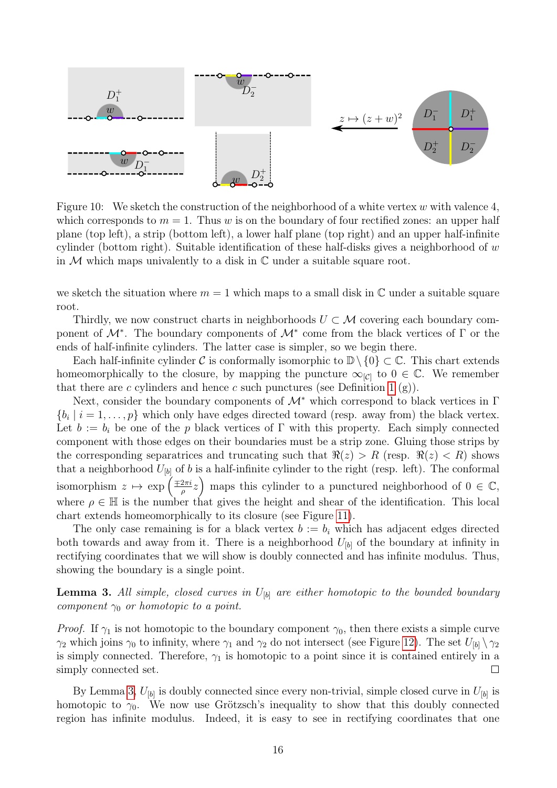

<span id="page-15-0"></span>Figure 10: We sketch the construction of the neighborhood of a white vertex w with valence 4, which corresponds to  $m = 1$ . Thus w is on the boundary of four rectified zones: an upper half plane (top left), a strip (bottom left), a lower half plane (top right) and an upper half-infinite cylinder (bottom right). Suitable identification of these half-disks gives a neighborhood of  $w$ in  $M$  which maps univalently to a disk in  $\mathbb C$  under a suitable square root.

we sketch the situation where  $m = 1$  which maps to a small disk in  $\mathbb C$  under a suitable square root.

Thirdly, we now construct charts in neighborhoods  $U \subset \mathcal{M}$  covering each boundary component of  $\mathcal{M}^*$ . The boundary components of  $\mathcal{M}^*$  come from the black vertices of  $\Gamma$  or the ends of half-infinite cylinders. The latter case is simpler, so we begin there.

Each half-infinite cylinder C is conformally isomorphic to  $\mathbb{D}\setminus\{0\}\subset\mathbb{C}$ . This chart extends homeomorphically to the closure, by mapping the puncture  $\infty_{[\mathcal{C}]}$  to  $0 \in \mathbb{C}$ . We remember that there are c cylinders and hence c such punctures (see Definition [1](#page-9-1)  $(g)$ ).

Next, consider the boundary components of  $\mathcal{M}^*$  which correspond to black vertices in  $\Gamma$  $\{b_i \mid i = 1, \ldots, p\}$  which only have edges directed toward (resp. away from) the black vertex. Let  $b := b_i$  be one of the p black vertices of  $\Gamma$  with this property. Each simply connected component with those edges on their boundaries must be a strip zone. Gluing those strips by the corresponding separatrices and truncating such that  $\Re(z) > R$  (resp.  $\Re(z) < R$ ) shows that a neighborhood  $U_{[b]}$  of b is a half-infinite cylinder to the right (resp. left). The conformal isomorphism  $z \mapsto \exp\left(\frac{\pm 2\pi i}{a}\right)$  $\left(\frac{2\pi i}{\rho}z\right)$  maps this cylinder to a punctured neighborhood of  $0 \in \mathbb{C}$ , where  $\rho \in \mathbb{H}$  is the number that gives the height and shear of the identification. This local chart extends homeomorphically to its closure (see Figure [11\)](#page-16-1).

The only case remaining is for a black vertex  $b := b_i$  which has adjacent edges directed both towards and away from it. There is a neighborhood  $U_{[b]}$  of the boundary at infinity in rectifying coordinates that we will show is doubly connected and has infinite modulus. Thus, showing the boundary is a single point.

<span id="page-15-1"></span>**Lemma 3.** All simple, closed curves in  $U_{[b]}$  are either homotopic to the bounded boundary component  $\gamma_0$  or homotopic to a point.

*Proof.* If  $\gamma_1$  is not homotopic to the boundary component  $\gamma_0$ , then there exists a simple curve  $\gamma_2$  which joins  $\gamma_0$  to infinity, where  $\gamma_1$  and  $\gamma_2$  do not intersect (see Figure [12\)](#page-17-1). The set  $U_{[b]} \setminus \gamma_2$ is simply connected. Therefore,  $\gamma_1$  is homotopic to a point since it is contained entirely in a simply connected set.  $\Box$ 

By Lemma [3,](#page-15-1)  $U_{[b]}$  is doubly connected since every non-trivial, simple closed curve in  $U_{[b]}$  is homotopic to  $\gamma_0$ . We now use Grötzsch's inequality to show that this doubly connected region has infinite modulus. Indeed, it is easy to see in rectifying coordinates that one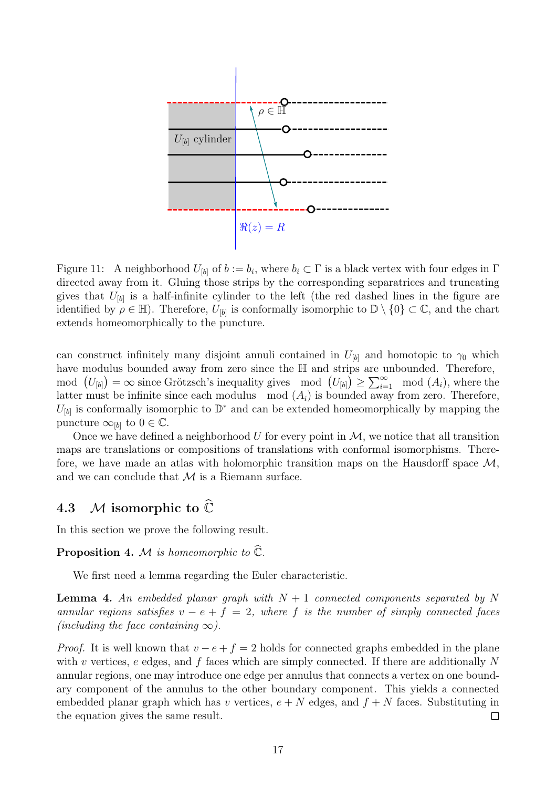

<span id="page-16-1"></span>Figure 11: A neighborhood  $U_{[b]}$  of  $b := b_i$ , where  $b_i \subset \Gamma$  is a black vertex with four edges in  $\Gamma$ directed away from it. Gluing those strips by the corresponding separatrices and truncating gives that  $U_{[b]}$  is a half-infinite cylinder to the left (the red dashed lines in the figure are identified by  $\rho \in \mathbb{H}$ ). Therefore,  $U_{[b]}$  is conformally isomorphic to  $\mathbb{D} \setminus \{0\} \subset \mathbb{C}$ , and the chart extends homeomorphically to the puncture.

can construct infinitely many disjoint annuli contained in  $U_{[b]}$  and homotopic to  $\gamma_0$  which have modulus bounded away from zero since the  $\mathbb H$  and strips are unbounded. Therefore, mod  $(U_{[b]}) = \infty$  since Grötzsch's inequality gives mod  $(U_{[b]}) \ge \sum_{i=1}^{\infty} \mod (A_i)$ , where the latter must be infinite since each modulus mod  $(A_i)$  is bounded away from zero. Therefore,  $U_{[b]}$  is conformally isomorphic to  $\mathbb{D}^*$  and can be extended homeomorphically by mapping the puncture  $\infty_{[b]}$  to  $0 \in \mathbb{C}$ .

Once we have defined a neighborhood  $U$  for every point in  $\mathcal{M}$ , we notice that all transition maps are translations or compositions of translations with conformal isomorphisms. Therefore, we have made an atlas with holomorphic transition maps on the Hausdorff space  $\mathcal{M}$ , and we can conclude that  $M$  is a Riemann surface.

## <span id="page-16-0"></span>4.3 M isomorphic to  $\widehat{\mathbb{C}}$

In this section we prove the following result.

<span id="page-16-2"></span>**Proposition 4.** M is homeomorphic to  $\widehat{\mathbb{C}}$ .

We first need a lemma regarding the Euler characteristic.

<span id="page-16-3"></span>**Lemma 4.** An embedded planar graph with  $N + 1$  connected components separated by N annular regions satisfies  $v - e + f = 2$ , where f is the number of simply connected faces (including the face containing  $\infty$ ).

*Proof.* It is well known that  $v - e + f = 2$  holds for connected graphs embedded in the plane with v vertices, e edges, and  $f$  faces which are simply connected. If there are additionally N annular regions, one may introduce one edge per annulus that connects a vertex on one boundary component of the annulus to the other boundary component. This yields a connected embedded planar graph which has v vertices,  $e + N$  edges, and  $f + N$  faces. Substituting in the equation gives the same result.  $\Box$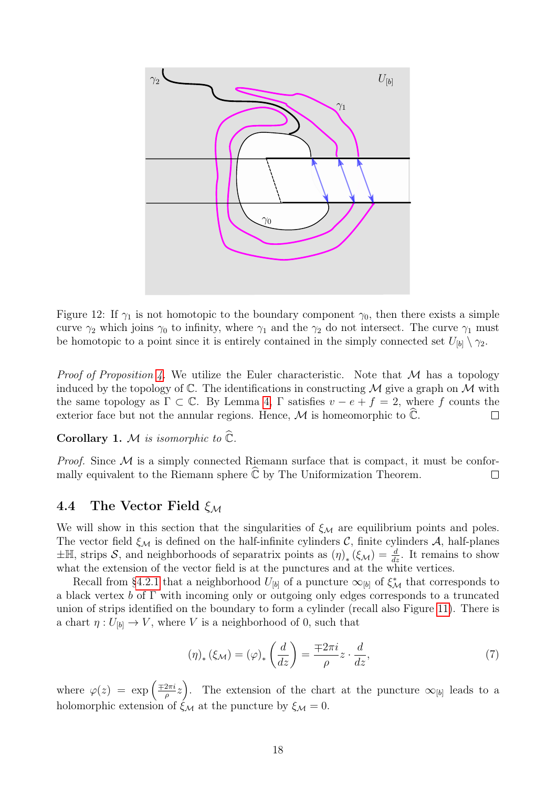

<span id="page-17-1"></span>Figure 12: If  $\gamma_1$  is not homotopic to the boundary component  $\gamma_0$ , then there exists a simple curve  $\gamma_2$  which joins  $\gamma_0$  to infinity, where  $\gamma_1$  and the  $\gamma_2$  do not intersect. The curve  $\gamma_1$  must be homotopic to a point since it is entirely contained in the simply connected set  $U_{[b]} \setminus \gamma_2$ .

*Proof of Proposition [4.](#page-16-2)* We utilize the Euler characteristic. Note that  $M$  has a topology induced by the topology of  $\mathbb{C}$ . The identifications in constructing M give a graph on M with the same topology as  $\Gamma \subset \mathbb{C}$ . By Lemma [4,](#page-16-3)  $\Gamma$  satisfies  $v - e + f = 2$ , where f counts the exterior face but not the annular regions. Hence,  $\mathcal M$  is homeomorphic to  $\mathbb C$ .  $\Box$ 

Corollary 1. M is isomorphic to  $\mathbb{C}$ .

*Proof.* Since  $M$  is a simply connected Riemann surface that is compact, it must be conformally equivalent to the Riemann sphere  $\ddot{\mathbb{C}}$  by The Uniformization Theorem.  $\Box$ 

### <span id="page-17-0"></span>4.4 The Vector Field  $\xi_{\mathcal{M}}$

We will show in this section that the singularities of  $\xi_M$  are equilibrium points and poles. The vector field  $\xi_{\mathcal{M}}$  is defined on the half-infinite cylinders C, finite cylinders A, half-planes  $\pm\mathbb{H}$ , strips S, and neighborhoods of separatrix points as  $(\eta)_*(\xi_{\mathcal{M}}) = \frac{d}{dz}$ . It remains to show what the extension of the vector field is at the punctures and at the white vertices.

Recall from [§4.2.1](#page-14-2) that a neighborhood  $U_{[b]}$  of a puncture  $\infty_{[b]}$  of  $\xi^*_{\mathcal{M}}$  that corresponds to a black vertex  $b$  of  $\Gamma$  with incoming only or outgoing only edges corresponds to a truncated union of strips identified on the boundary to form a cylinder (recall also Figure [11\)](#page-16-1). There is a chart  $\eta: U_{[b]} \to V$ , where V is a neighborhood of 0, such that

$$
(\eta)_*(\xi_{\mathcal{M}}) = (\varphi)_*\left(\frac{d}{dz}\right) = \frac{\mp 2\pi i}{\rho}z \cdot \frac{d}{dz},\tag{7}
$$

where  $\varphi(z) = \exp\left(\frac{\pm 2\pi i}{2}\right)$  $\left(\frac{2\pi i}{\rho}z\right)$ . The extension of the chart at the puncture  $\infty_{[b]}$  leads to a holomorphic extension of  $\hat{\xi}_M$  at the puncture by  $\xi_M = 0$ .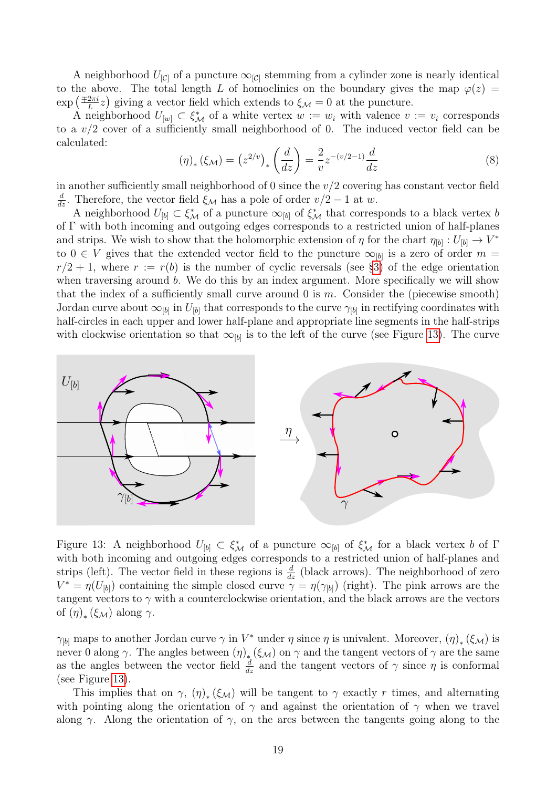A neighborhood  $U_{[C]}$  of a puncture  $\infty_{[C]}$  stemming from a cylinder zone is nearly identical to the above. The total length L of homoclinics on the boundary gives the map  $\varphi(z)$  =  $\exp\left(\frac{\mp 2\pi i}{L}\right)$  $\frac{2\pi i}{L}z$ ) giving a vector field which extends to  $\xi_{\mathcal{M}}=0$  at the puncture.

A neighborhood  $U_{[w]} \subset \xi^*_{\mathcal{M}}$  of a white vertex  $w := w_i$  with valence  $v := v_i$  corresponds to a  $v/2$  cover of a sufficiently small neighborhood of 0. The induced vector field can be calculated:

$$
(\eta)_*(\xi_{\mathcal{M}}) = (z^{2/v})_* \left(\frac{d}{dz}\right) = \frac{2}{v} z^{-(v/2-1)} \frac{d}{dz} \tag{8}
$$

in another sufficiently small neighborhood of 0 since the  $v/2$  covering has constant vector field  $\frac{d}{dz}$ . Therefore, the vector field  $\xi_{\mathcal{M}}$  has a pole of order  $v/2 - 1$  at w.

A neighborhood  $U_{[b]} \subset \xi^*_{\mathcal{M}}$  of a puncture  $\infty_{[b]}$  of  $\xi^*_{\mathcal{M}}$  that corresponds to a black vertex b of Γ with both incoming and outgoing edges corresponds to a restricted union of half-planes and strips. We wish to show that the holomorphic extension of  $\eta$  for the chart  $\eta_{[b]} : U_{[b]} \to V^*$ to  $0 \in V$  gives that the extended vector field to the puncture  $\infty_{b}$  is a zero of order  $m =$  $r/2 + 1$ , where  $r := r(b)$  is the number of cyclic reversals (see [§3\)](#page-8-0) of the edge orientation when traversing around b. We do this by an index argument. More specifically we will show that the index of a sufficiently small curve around  $0$  is  $m$ . Consider the (piecewise smooth) Jordan curve about  $\infty_{[b]}$  in  $U_{[b]}$  that corresponds to the curve  $\gamma_{[b]}$  in rectifying coordinates with half-circles in each upper and lower half-plane and appropriate line segments in the half-strips with clockwise orientation so that  $\infty_{[b]}$  is to the left of the curve (see Figure [13\)](#page-18-0). The curve



<span id="page-18-0"></span>Figure 13: A neighborhood  $U_{[b]} \subset \xi^*_{\mathcal{M}}$  of a puncture  $\infty_{[b]}$  of  $\xi^*_{\mathcal{M}}$  for a black vertex b of  $\Gamma$ with both incoming and outgoing edges corresponds to a restricted union of half-planes and strips (left). The vector field in these regions is  $\frac{d}{dz}$  (black arrows). The neighborhood of zero  $V^* = \eta(U_{[b]})$  containing the simple closed curve  $\eta = \eta(\gamma_{[b]})$  (right). The pink arrows are the tangent vectors to  $\gamma$  with a counterclockwise orientation, and the black arrows are the vectors of  $(\eta)_*(\xi_{\mathcal{M}})$  along  $\gamma$ .

 $\gamma_{[b]}$  maps to another Jordan curve  $\gamma$  in  $V^*$  under  $\eta$  since  $\eta$  is univalent. Moreover,  $(\eta)_*(\xi_{\mathcal{M}})$  is never 0 along  $\gamma$ . The angles between  $(\eta)_*(\xi_{\mathcal{M}})$  on  $\gamma$  and the tangent vectors of  $\gamma$  are the same as the angles between the vector field  $\frac{d}{dz}$  and the tangent vectors of  $\gamma$  since  $\eta$  is conformal (see Figure [13\)](#page-18-0).

This implies that on  $\gamma$ ,  $(\eta)_*(\xi_{\mathcal{M}})$  will be tangent to  $\gamma$  exactly r times, and alternating with pointing along the orientation of  $\gamma$  and against the orientation of  $\gamma$  when we travel along  $\gamma$ . Along the orientation of  $\gamma$ , on the arcs between the tangents going along to the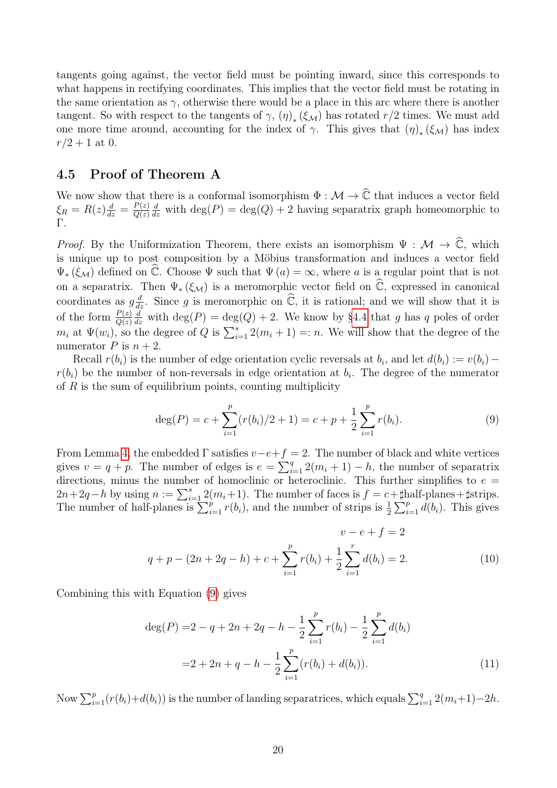tangents going against, the vector field must be pointing inward, since this corresponds to what happens in rectifying coordinates. This implies that the vector field must be rotating in the same orientation as  $\gamma$ , otherwise there would be a place in this arc where there is another tangent. So with respect to the tangents of  $\gamma$ ,  $(\eta)_*(\xi_{\mathcal{M}})$  has rotated  $r/2$  times. We must add one more time around, accounting for the index of  $\gamma$ . This gives that  $(\eta)_*(\xi_{\mathcal{M}})$  has index  $r/2 + 1$  at 0.

### <span id="page-19-0"></span>4.5 Proof of Theorem A

We now show that there is a conformal isomorphism  $\Phi : \mathcal{M} \to \hat{\mathbb{C}}$  that induces a vector field  $\xi_R = R(z) \frac{d}{dz} = \frac{P(z)}{Q(z)}$  $Q(z)$  $\frac{d}{dz}$  with  $\deg(P) = \deg(Q) + 2$  having separatrix graph homeomorphic to Γ.

*Proof.* By the Uniformization Theorem, there exists an isomorphism  $\Psi : \mathcal{M} \to \mathbb{C}$ , which is unique up to post composition by a Möbius transformation and induces a vector field  $\Psi_*(\xi_{\mathcal{M}})$  defined on  $\hat{\mathbb{C}}$ . Choose  $\Psi$  such that  $\Psi(a) = \infty$ , where a is a regular point that is not on a separatrix. Then  $\Psi_*(\xi_{\mathcal{M}})$  is a meromorphic vector field on  $\widehat{\mathbb{C}}$ , expressed in canonical coordinates as  $g\frac{d}{dz}$ . Since g is meromorphic on  $\hat{\mathbb{C}}$ , it is rational; and we will show that it is of the form  $\frac{P(z)}{Q(z)}$  $\frac{d}{dz}$  with  $\deg(P) = \deg(Q) + 2$ . We know by [§4.4](#page-17-0) that g has q poles of order  $m_i$  at  $\Psi(w_i)$ , so the degree of Q is  $\sum_{i=1}^{s} 2(m_i + 1) =: n$ . We will show that the degree of the numerator P is  $n + 2$ .

Recall  $r(b_i)$  is the number of edge orientation cyclic reversals at  $b_i$ , and let  $d(b_i) := v(b_i)$  $r(b_i)$  be the number of non-reversals in edge orientation at  $b_i$ . The degree of the numerator of  $R$  is the sum of equilibrium points, counting multiplicity

<span id="page-19-1"></span>
$$
\deg(P) = c + \sum_{i=1}^{p} (r(b_i)/2 + 1) = c + p + \frac{1}{2} \sum_{i=1}^{p} r(b_i).
$$
 (9)

From Lemma [4,](#page-16-3) the embedded  $\Gamma$  satisfies  $v-e+f=2$ . The number of black and white vertices gives  $v = q + p$ . The number of edges is  $e = \sum_{i=1}^{q} 2(m_i + 1) - h$ , the number of separatrix directions, minus the number of homoclinic or heteroclinic. This further simplifies to  $e =$  $2n+2q-h$  by using  $n := \sum_{i=1}^{s} 2(m_i+1)$ . The number of faces is  $f = c+\text{[half-planes+}$ #strips. The number of half-planes is  $\sum_{i=1}^{p} r(b_i)$ , and the number of strips is  $\frac{1}{2} \sum_{i=1}^{p} d(b_i)$ . This gives

$$
v - e + f = 2
$$
  
\n
$$
q + p - (2n + 2q - h) + c + \sum_{i=1}^{p} r(b_i) + \frac{1}{2} \sum_{i=1}^{r} d(b_i) = 2.
$$
\n(10)

Combining this with Equation [\(9\)](#page-19-1) gives

<span id="page-19-2"></span>
$$
\deg(P) = 2 - q + 2n + 2q - h - \frac{1}{2} \sum_{i=1}^{p} r(b_i) - \frac{1}{2} \sum_{i=1}^{p} d(b_i)
$$

$$
= 2 + 2n + q - h - \frac{1}{2} \sum_{i=1}^{p} (r(b_i) + d(b_i)). \tag{11}
$$

Now  $\sum_{i=1}^p (r(b_i)+d(b_i))$  is the number of landing separatrices, which equals  $\sum_{i=1}^q 2(m_i+1)-2h$ .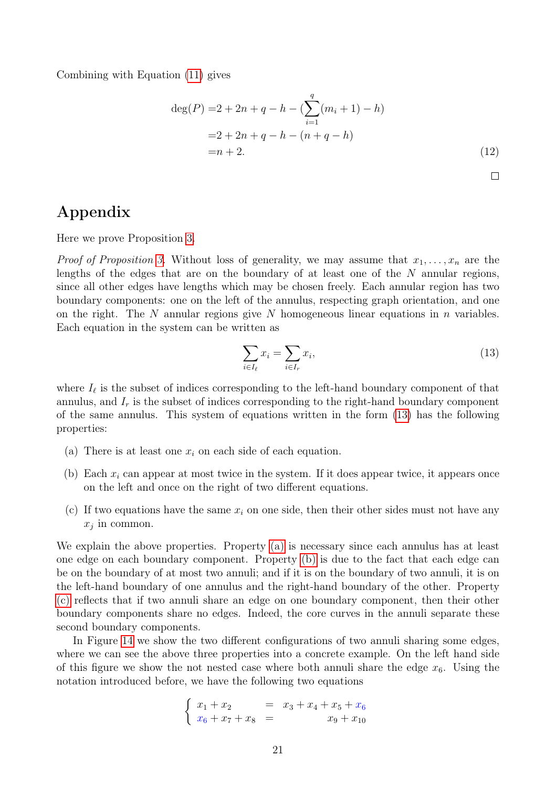Combining with Equation [\(11\)](#page-19-2) gives

$$
\deg(P) = 2 + 2n + q - h - \left(\sum_{i=1}^{q} (m_i + 1) - h\right)
$$
  
= 2 + 2n + q - h - (n + q - h)  
= n + 2. (12)

# Appendix

Here we prove Proposition [3.](#page-13-2)

*Proof of Proposition [3.](#page-13-2)* Without loss of generality, we may assume that  $x_1, \ldots, x_n$  are the lengths of the edges that are on the boundary of at least one of the N annular regions, since all other edges have lengths which may be chosen freely. Each annular region has two boundary components: one on the left of the annulus, respecting graph orientation, and one on the right. The N annular regions give N homogeneous linear equations in n variables. Each equation in the system can be written as

<span id="page-20-0"></span>
$$
\sum_{i \in I_{\ell}} x_i = \sum_{i \in I_r} x_i,\tag{13}
$$

where  $I_{\ell}$  is the subset of indices corresponding to the left-hand boundary component of that annulus, and  $I_r$  is the subset of indices corresponding to the right-hand boundary component of the same annulus. This system of equations written in the form [\(13\)](#page-20-0) has the following properties:

- <span id="page-20-1"></span>(a) There is at least one  $x_i$  on each side of each equation.
- <span id="page-20-2"></span>(b) Each  $x_i$  can appear at most twice in the system. If it does appear twice, it appears once on the left and once on the right of two different equations.
- <span id="page-20-3"></span>(c) If two equations have the same  $x_i$  on one side, then their other sides must not have any  $x_j$  in common.

We explain the above properties. Property [\(a\)](#page-20-1) is necessary since each annulus has at least one edge on each boundary component. Property [\(b\)](#page-20-2) is due to the fact that each edge can be on the boundary of at most two annuli; and if it is on the boundary of two annuli, it is on the left-hand boundary of one annulus and the right-hand boundary of the other. Property [\(c\)](#page-20-3) reflects that if two annuli share an edge on one boundary component, then their other boundary components share no edges. Indeed, the core curves in the annuli separate these second boundary components.

In Figure [14](#page-21-0) we show the two different configurations of two annuli sharing some edges, where we can see the above three properties into a concrete example. On the left hand side of this figure we show the not nested case where both annuli share the edge  $x_6$ . Using the notation introduced before, we have the following two equations

$$
\begin{cases}\nx_1 + x_2 = x_3 + x_4 + x_5 + x_6 \\
x_6 + x_7 + x_8 = x_9 + x_{10}\n\end{cases}
$$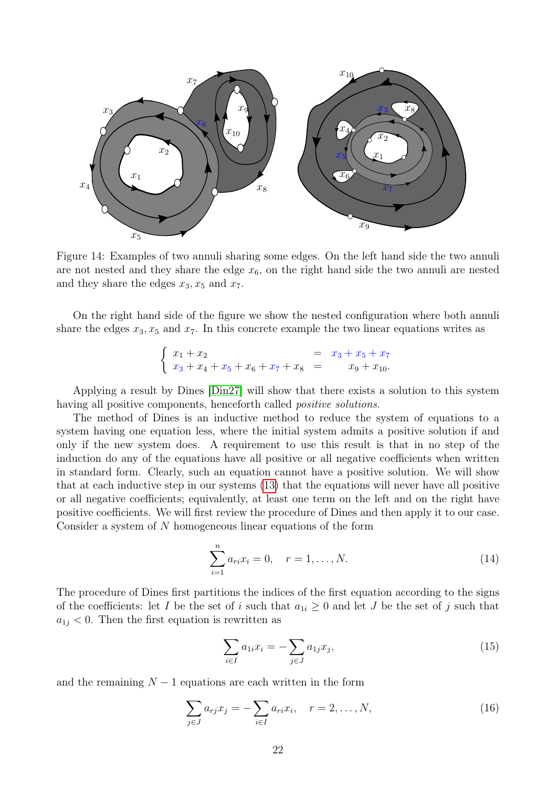

<span id="page-21-0"></span>Figure 14: Examples of two annuli sharing some edges. On the left hand side the two annuli are not nested and they share the edge  $x_6$ , on the right hand side the two annuli are nested and they share the edges  $x_3, x_5$  and  $x_7$ .

On the right hand side of the figure we show the nested configuration where both annuli share the edges  $x_3, x_5$  and  $x_7$ . In this concrete example the two linear equations writes as

$$
\begin{cases}\nx_1 + x_2 = x_3 + x_5 + x_7 \\
x_3 + x_4 + x_5 + x_6 + x_7 + x_8 = x_9 + x_{10}.\n\end{cases}
$$

Applying a result by Dines [\[Din27\]](#page-24-14) will show that there exists a solution to this system having all positive components, henceforth called *positive solutions*.

The method of Dines is an inductive method to reduce the system of equations to a system having one equation less, where the initial system admits a positive solution if and only if the new system does. A requirement to use this result is that in no step of the induction do any of the equations have all positive or all negative coefficients when written in standard form. Clearly, such an equation cannot have a positive solution. We will show that at each inductive step in our systems [\(13\)](#page-20-0) that the equations will never have all positive or all negative coefficients; equivalently, at least one term on the left and on the right have positive coefficients. We will first review the procedure of Dines and then apply it to our case. Consider a system of N homogeneous linear equations of the form

$$
\sum_{i=1}^{n} a_{ri} x_i = 0, \quad r = 1, \dots, N.
$$
 (14)

The procedure of Dines first partitions the indices of the first equation according to the signs of the coefficients: let I be the set of i such that  $a_{1i} \geq 0$  and let J be the set of j such that  $a_{1j}$  < 0. Then the first equation is rewritten as

<span id="page-21-1"></span>
$$
\sum_{i \in I} a_{1i} x_i = -\sum_{j \in J} a_{1j} x_j,\tag{15}
$$

and the remaining  $N-1$  equations are each written in the form

<span id="page-21-2"></span>
$$
\sum_{j \in J} a_{rj} x_j = -\sum_{i \in I} a_{ri} x_i, \quad r = 2, ..., N,
$$
\n(16)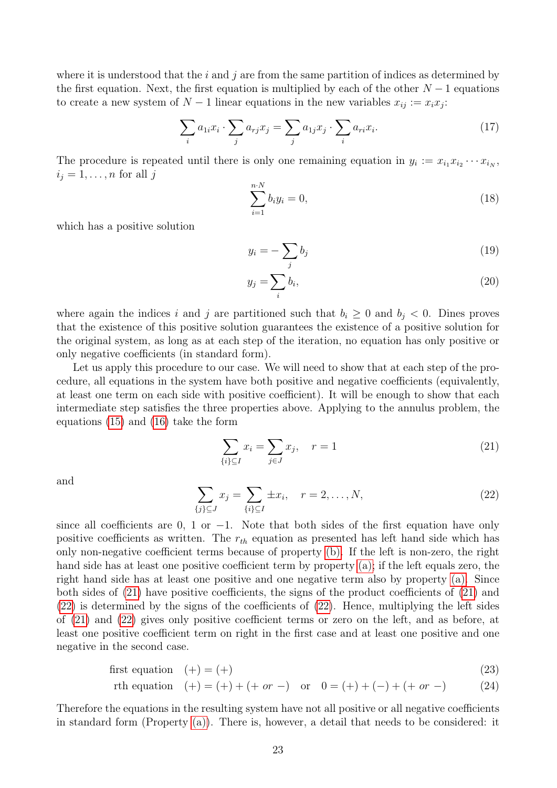where it is understood that the  $i$  and  $j$  are from the same partition of indices as determined by the first equation. Next, the first equation is multiplied by each of the other  $N-1$  equations to create a new system of  $N-1$  linear equations in the new variables  $x_{ij} := x_i x_j$ :

<span id="page-22-2"></span>
$$
\sum_{i} a_{1i} x_i \cdot \sum_{j} a_{rj} x_j = \sum_{j} a_{1j} x_j \cdot \sum_{i} a_{ri} x_i. \tag{17}
$$

The procedure is repeated until there is only one remaining equation in  $y_i := x_{i_1} x_{i_2} \cdots x_{i_N}$ ,  $i_j = 1, \ldots, n$  for all j

$$
\sum_{i=1}^{n \cdot N} b_i y_i = 0,\t\t(18)
$$

which has a positive solution

$$
y_i = -\sum_j b_j \tag{19}
$$

$$
y_j = \sum_i b_i,\tag{20}
$$

where again the indices i and j are partitioned such that  $b_i \geq 0$  and  $b_j < 0$ . Dines proves that the existence of this positive solution guarantees the existence of a positive solution for the original system, as long as at each step of the iteration, no equation has only positive or only negative coefficients (in standard form).

Let us apply this procedure to our case. We will need to show that at each step of the procedure, all equations in the system have both positive and negative coefficients (equivalently, at least one term on each side with positive coefficient). It will be enough to show that each intermediate step satisfies the three properties above. Applying to the annulus problem, the equations [\(15\)](#page-21-1) and [\(16\)](#page-21-2) take the form

<span id="page-22-0"></span>
$$
\sum_{\{i\} \subseteq I} x_i = \sum_{j \in J} x_j, \quad r = 1 \tag{21}
$$

and

<span id="page-22-1"></span>
$$
\sum_{\{j\} \subseteq J} x_j = \sum_{\{i\} \subseteq I} \pm x_i, \quad r = 2, \dots, N,
$$
\n(22)

since all coefficients are 0, 1 or  $-1$ . Note that both sides of the first equation have only positive coefficients as written. The  $r_{th}$  equation as presented has left hand side which has only non-negative coefficient terms because of property [\(b\).](#page-20-2) If the left is non-zero, the right hand side has at least one positive coefficient term by property [\(a\);](#page-20-1) if the left equals zero, the right hand side has at least one positive and one negative term also by property [\(a\).](#page-20-1) Since both sides of [\(21\)](#page-22-0) have positive coefficients, the signs of the product coefficients of [\(21\)](#page-22-0) and [\(22\)](#page-22-1) is determined by the signs of the coefficients of [\(22\)](#page-22-1). Hence, multiplying the left sides of [\(21\)](#page-22-0) and [\(22\)](#page-22-1) gives only positive coefficient terms or zero on the left, and as before, at least one positive coefficient term on right in the first case and at least one positive and one negative in the second case.

$$
first equation \quad (+) = (+) \tag{23}
$$

$$
rth equation \quad (+) = (+) + (+ \text{ or } -) \quad \text{or} \quad 0 = (+) + (-) + (+ \text{ or } -) \tag{24}
$$

Therefore the equations in the resulting system have not all positive or all negative coefficients in standard form (Property [\(a\)\)](#page-20-1). There is, however, a detail that needs to be considered: it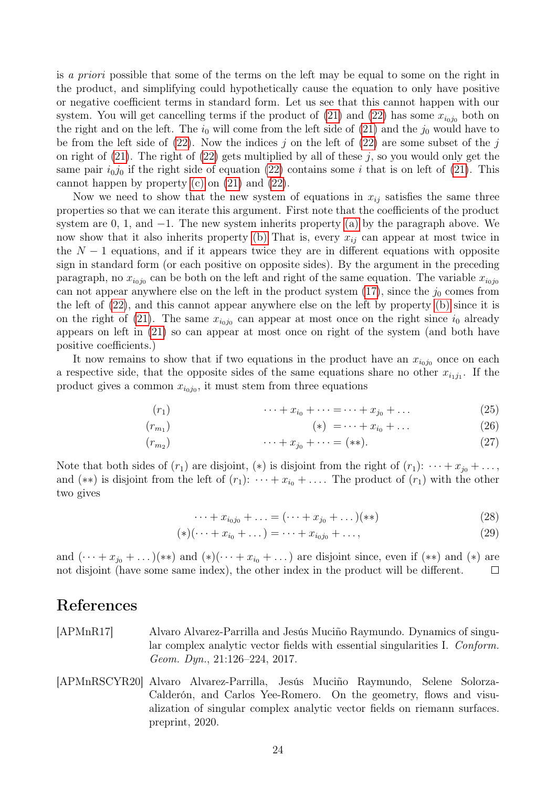is a priori possible that some of the terms on the left may be equal to some on the right in the product, and simplifying could hypothetically cause the equation to only have positive or negative coefficient terms in standard form. Let us see that this cannot happen with our system. You will get cancelling terms if the product of  $(21)$  and  $(22)$  has some  $x_{i_0j_0}$  both on the right and on the left. The  $i_0$  will come from the left side of [\(21\)](#page-22-0) and the  $j_0$  would have to be from the left side of  $(22)$ . Now the indices j on the left of  $(22)$  are some subset of the j on right of  $(21)$ . The right of  $(22)$  gets multiplied by all of these j, so you would only get the same pair  $i_0j_0$  if the right side of equation [\(22\)](#page-22-1) contains some i that is on left of [\(21\)](#page-22-0). This cannot happen by property [\(c\)](#page-20-3) on [\(21\)](#page-22-0) and [\(22\)](#page-22-1).

Now we need to show that the new system of equations in  $x_{ij}$  satisfies the same three properties so that we can iterate this argument. First note that the coefficients of the product system are 0, 1, and  $-1$ . The new system inherits property [\(a\)](#page-20-1) by the paragraph above. We now show that it also inherits property [\(b\)](#page-20-2) That is, every  $x_{ij}$  can appear at most twice in the  $N-1$  equations, and if it appears twice they are in different equations with opposite sign in standard form (or each positive on opposite sides). By the argument in the preceding paragraph, no  $x_{i_0j_0}$  can be both on the left and right of the same equation. The variable  $x_{i_0j_0}$ can not appear anywhere else on the left in the product system  $(17)$ , since the  $j_0$  comes from the left of [\(22\)](#page-22-1), and this cannot appear anywhere else on the left by property [\(b\)](#page-20-2) since it is on the right of [\(21\)](#page-22-0). The same  $x_{i_0j_0}$  can appear at most once on the right since  $i_0$  already appears on left in [\(21\)](#page-22-0) so can appear at most once on right of the system (and both have positive coefficients.)

It now remains to show that if two equations in the product have an  $x_{i_0j_0}$  once on each a respective side, that the opposite sides of the same equations share no other  $x_{i_1j_1}$ . If the product gives a common  $x_{i_0j_0}$ , it must stem from three equations

$$
(r_1) \qquad \cdots + x_{i_0} + \cdots = \cdots + x_{j_0} + \dots \tag{25}
$$

$$
(r_{m_1}) \qquad (*) = \cdots + x_{i_0} + \dots \qquad (26)
$$

$$
(r_{m_2}) \qquad \cdots + x_{j_0} + \cdots = (**).
$$
 (27)

Note that both sides of  $(r_1)$  are disjoint,  $(*)$  is disjoint from the right of  $(r_1): \cdots + x_{j_0} + \ldots$ , and (\*\*) is disjoint from the left of  $(r_1): \cdots + x_{i_0} + \ldots$ . The product of  $(r_1)$  with the other two gives

$$
\cdots + x_{i_0 j_0} + \ldots = (\cdots + x_{j_0} + \ldots)(**)
$$
\n(28)

$$
(*) (\cdots + x_{i_0} + \dots) = \cdots + x_{i_0 j_0} + \dots,
$$
\n(29)

and  $(\cdots + x_{j_0} + \ldots)(**)$  and  $(*)(\cdots + x_{i_0} + \ldots)$  are disjoint since, even if  $(**)$  and  $(*)$  are not disjoint (have some same index), the other index in the product will be different.  $\Box$ 

## References

- <span id="page-23-1"></span>[APMnR17] Alvaro Alvarez-Parrilla and Jesús Muciño Raymundo. Dynamics of singular complex analytic vector fields with essential singularities I. Conform. Geom. Dyn., 21:126–224, 2017.
- <span id="page-23-0"></span>[APMnRSCYR20] Alvaro Alvarez-Parrilla, Jesús Muciño Raymundo, Selene Solorza-Calderón, and Carlos Yee-Romero. On the geometry, flows and visualization of singular complex analytic vector fields on riemann surfaces. preprint, 2020.